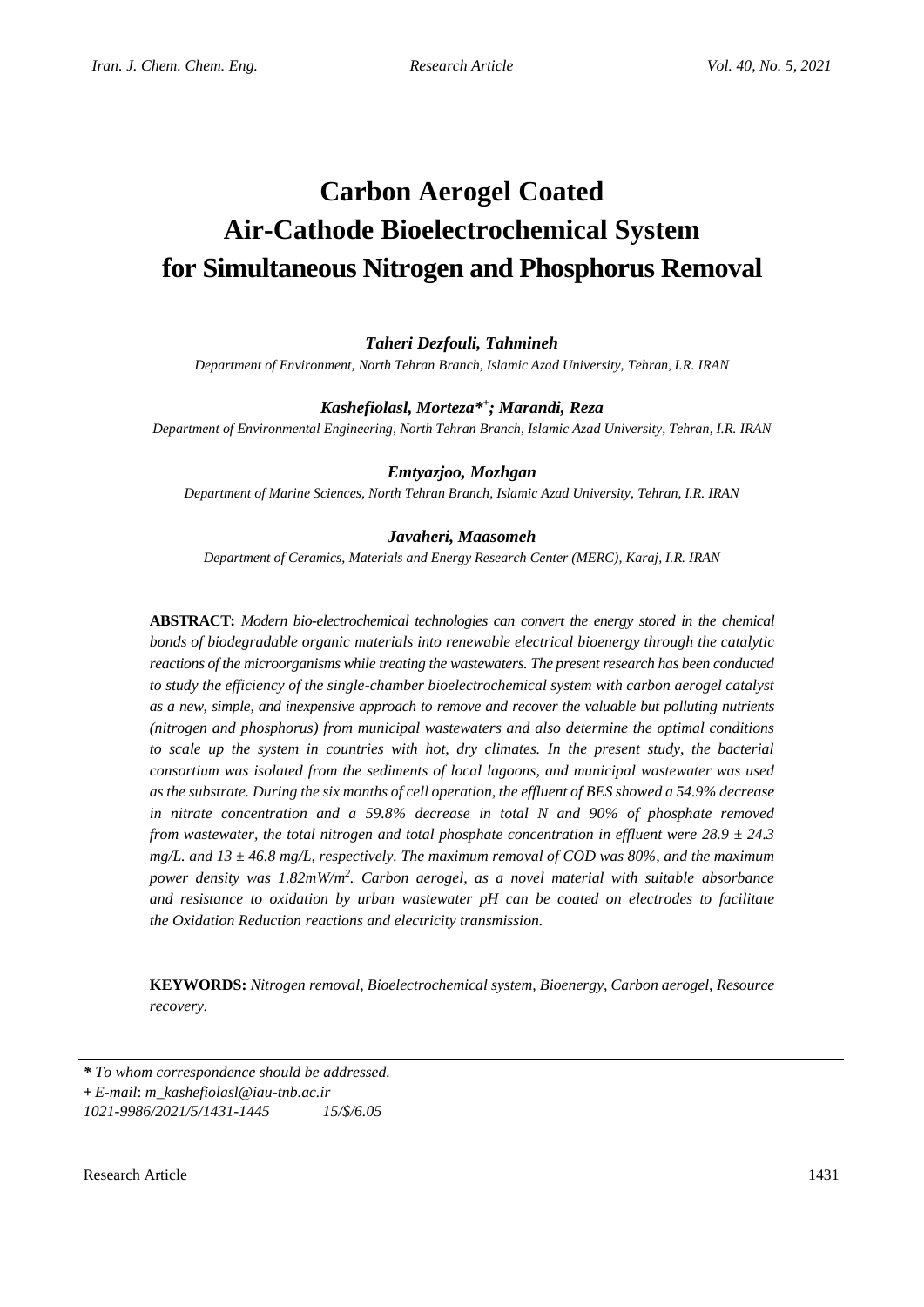# **Carbon Aerogel Coated Air-Cathode Bioelectrochemical System for Simultaneous Nitrogen and Phosphorus Removal**

# *Taheri Dezfouli, Tahmineh*

*Department of Environment, North Tehran Branch, Islamic Azad University, Tehran, I.R. IRAN*

# *Kashefiolasl, Morteza\* + ; Marandi, Reza*

*Department of Environmental Engineering, North Tehran Branch, Islamic Azad University, Tehran, I.R. IRAN*

# *Emtyazjoo, Mozhgan*

*Department of Marine Sciences, North Tehran Branch, Islamic Azad University, Tehran, I.R. IRAN*

## *Javaheri, Maasomeh*

*Department of Ceramics, Materials and Energy Research Center (MERC), Karaj, I.R. IRAN*

**ABSTRACT:** *Modern bio-electrochemical technologies can convert the energy stored in the chemical bonds of biodegradable organic materials into renewable electrical bioenergy through the catalytic reactions of the microorganisms while treating the wastewaters. The present research has been conducted to study the efficiency of the single-chamber bioelectrochemical system with carbon aerogel catalyst as a new, simple, and inexpensive approach to remove and recover the valuable but polluting nutrients (nitrogen and phosphorus) from municipal wastewaters and also determine the optimal conditions to scale up the system in countries with hot, dry climates. In the present study, the bacterial consortium was isolated from the sediments of local lagoons, and municipal wastewater was used as the substrate. During the six months of cell operation, the effluent of BES showed a 54.9% decrease in nitrate concentration and a 59.8% decrease in total N and 90% of phosphate removed from wastewater, the total nitrogen and total phosphate concentration in effluent were 28.9 ± 24.3 mg/L. and 13 ± 46.8 mg/L, respectively. The maximum removal of COD was 80%, and the maximum power density was 1.82mW/m<sup>2</sup> . Carbon aerogel, as a novel material with suitable absorbance and resistance to oxidation by urban wastewater pH can be coated on electrodes to facilitate the Oxidation Reduction reactions and electricity transmission.*

**KEYWORDS:** *Nitrogen removal, Bioelectrochemical system, Bioenergy, Carbon aerogel, Resource recovery.*

*\* To whom correspondence should be addressed.* **+** *E-mail*: *m\_kashefiolasl@iau-tnb.ac.ir 1021-9986/2021/5/1431-1445 15/\$/6.05*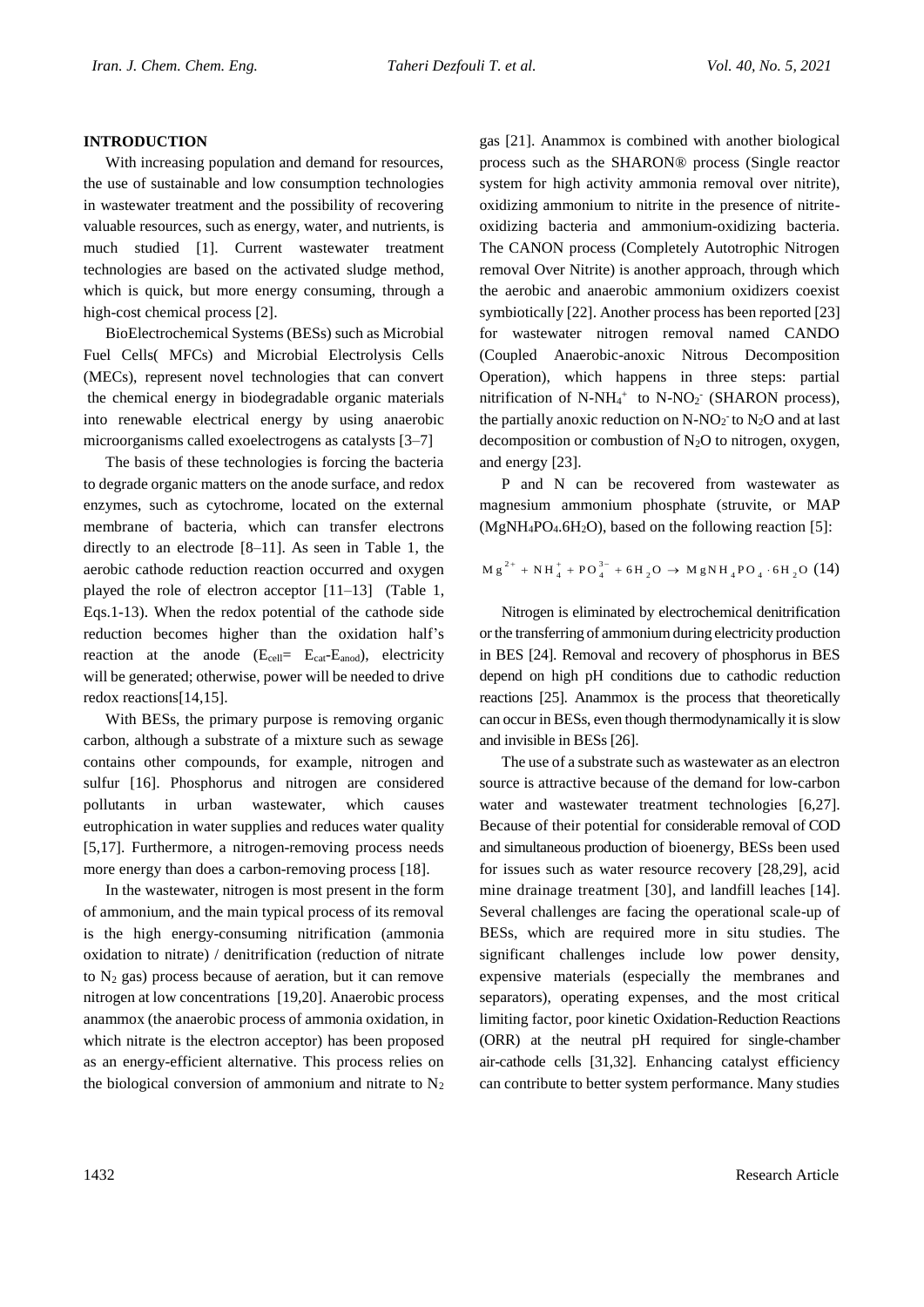#### **INTRODUCTION**

With increasing population and demand for resources, the use of sustainable and low consumption technologies in wastewater treatment and the possibility of recovering valuable resources, such as energy, water, and nutrients, is much studied [1]. Current wastewater treatment technologies are based on the activated sludge method, which is quick, but more energy consuming, through a high-cost chemical process [2].

BioElectrochemical Systems (BESs) such as Microbial Fuel Cells( MFCs) and Microbial Electrolysis Cells (MECs), represent novel technologies that can convert the chemical energy in biodegradable organic materials into renewable electrical energy by using anaerobic microorganisms called exoelectrogens as catalysts [3–7]

The basis of these technologies is forcing the bacteria to degrade organic matters on the anode surface, and redox enzymes, such as cytochrome, located on the external membrane of bacteria, which can transfer electrons directly to an electrode [8–11]. As seen in Table 1, the aerobic cathode reduction reaction occurred and oxygen played the role of electron acceptor [11–13] (Table 1, Eqs.1-13). When the redox potential of the cathode side reduction becomes higher than the oxidation half's reaction at the anode  $(E_{cell} = E_{cat} - E_{anod})$ , electricity will be generated; otherwise, power will be needed to drive redox reactions[14,15].

With BESs, the primary purpose is removing organic carbon, although a substrate of a mixture such as sewage contains other compounds, for example, nitrogen and sulfur [16]. Phosphorus and nitrogen are considered pollutants in urban wastewater, which causes eutrophication in water supplies and reduces water quality [5,17]. Furthermore, a nitrogen-removing process needs more energy than does a carbon-removing process [18].

In the wastewater, nitrogen is most present in the form of ammonium, and the main typical process of its removal is the high energy-consuming nitrification (ammonia oxidation to nitrate) / denitrification (reduction of nitrate to  $N_2$  gas) process because of aeration, but it can remove nitrogen at low concentrations [19,20]. Anaerobic process anammox (the anaerobic process of ammonia oxidation, in which nitrate is the electron acceptor) has been proposed as an energy-efficient alternative. This process relies on the biological conversion of ammonium and nitrate to  $N_2$ 

gas [21]. Anammox is combined with another biological process such as the SHARON® process (Single reactor system for high activity ammonia removal over nitrite), oxidizing ammonium to nitrite in the presence of nitriteoxidizing bacteria and ammonium-oxidizing bacteria. The CANON process (Completely Autotrophic Nitrogen removal Over Nitrite) is another approach, through which the aerobic and anaerobic ammonium oxidizers coexist symbiotically [22]. Another process has been reported [23] for wastewater nitrogen removal named CANDO (Coupled Anaerobic-anoxic Nitrous Decomposition Operation), which happens in three steps: partial nitrification of N-NH<sub>4</sub><sup>+</sup> to N-NO<sub>2</sub><sup>-</sup> (SHARON process), the partially anoxic reduction on  $N-NO_2$  to  $N_2O$  and at last decomposition or combustion of  $N_2O$  to nitrogen, oxygen, and energy [23].

P and N can be recovered from wastewater as magnesium ammonium phosphate (struvite, or MAP  $(MgNH_4PO_4.6H_2O)$ , based on the following reaction [5]:

$$
M g^{2+} + NH_{4}^{+} + PO_{4}^{3-} + 6H_{2}O \rightarrow MgNH_{4}PO_{4} \cdot 6H_{2}O (14)
$$

Nitrogen is eliminated by electrochemical denitrification or the transferring of ammoniumduring electricity production in BES [24]. Removal and recovery of phosphorus in BES depend on high pH conditions due to cathodic reduction reactions [25]. Anammox is the process that theoretically can occur in BESs, even though thermodynamically it is slow and invisible in BESs [26].

The use of a substrate such as wastewater as an electron source is attractive because of the demand for low-carbon water and wastewater treatment technologies [6,27]. Because of their potential for considerable removal of COD and simultaneous production of bioenergy, BESs been used for issues such as water resource recovery [28,29], acid mine drainage treatment [30], and landfill leaches [14]. Several challenges are facing the operational scale-up of BESs, which are required more in situ studies. The significant challenges include low power density, expensive materials (especially the membranes and separators), operating expenses, and the most critical limiting factor, poor kinetic Oxidation-Reduction Reactions (ORR) at the neutral pH required for single-chamber air-cathode cells [31,32]. Enhancing catalyst efficiency can contribute to better system performance. Many studies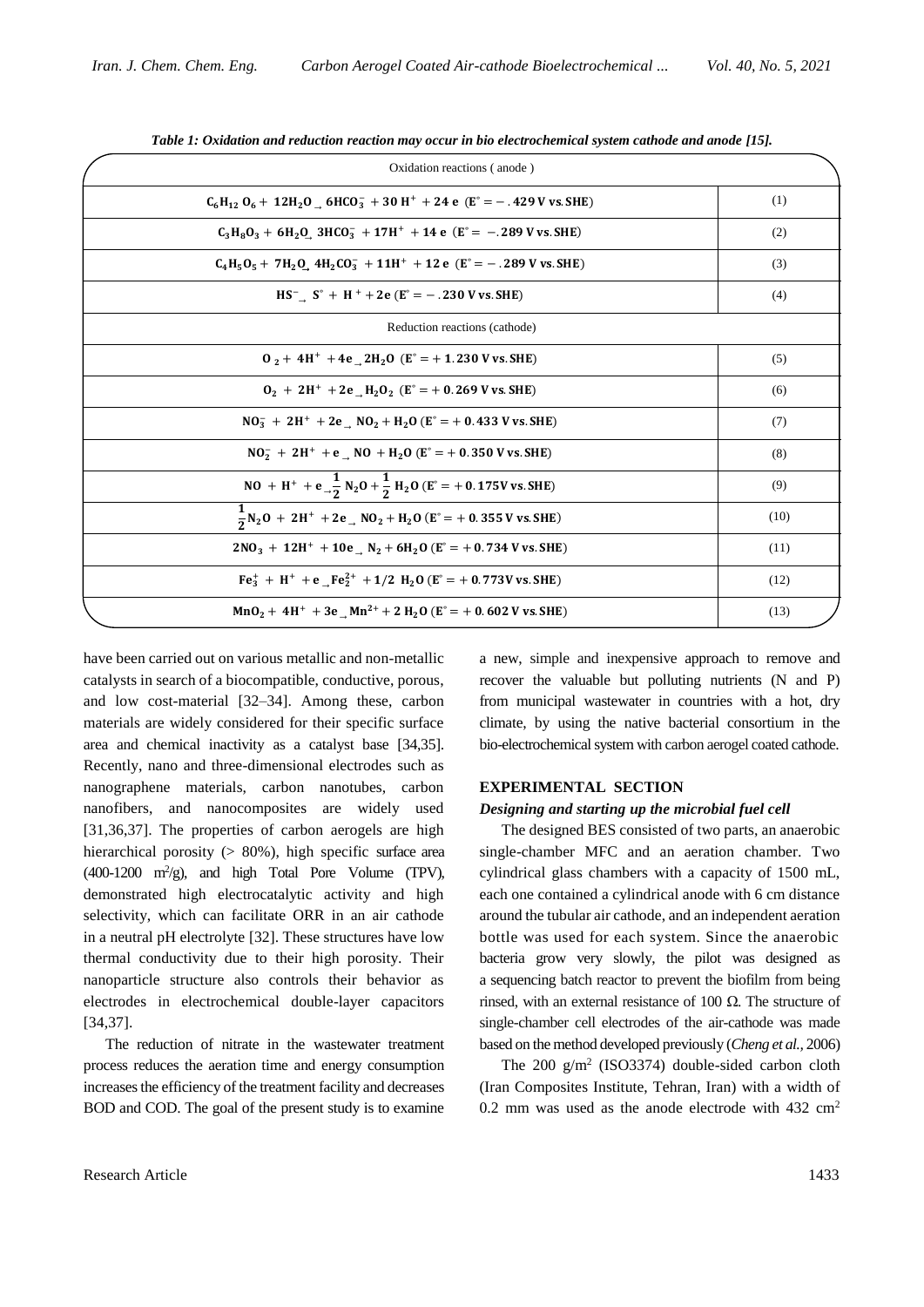| Oxidation reactions (anode)                                                                                                                |      |
|--------------------------------------------------------------------------------------------------------------------------------------------|------|
| $C_6H_{12}O_6 + 12H_2O_6 + HCO_3^- + 30H^+ + 24e (E^* = -.429 V \text{ vs. SHE})$                                                          | (1)  |
| $C_3H_8O_3 + 6H_2O_3$ 3HCO <sub>3</sub> + 17H <sup>+</sup> + 14 e (E <sup>o</sup> = - . 289 V vs. SHE)                                     | (2)  |
| $C_4H_5O_5 + 7H_2O_4 + H_2CO_3^- + 11H^+ + 12e (E^{\circ} = -.289 V \text{ vs. SHE})$                                                      | (3)  |
| $HS^ S^{\circ}$ + H <sup>+</sup> + 2e ( $E^{\circ}$ = - .230 V vs. SHE)                                                                    | (4)  |
| Reduction reactions (cathode)                                                                                                              |      |
| $0, +4H^+ +4e$ 2H <sub>2</sub> O (E <sup>o</sup> = +1.230 V vs. SHE)                                                                       | (5)  |
| $0_2 + 2H^+ + 2e$ H <sub>2</sub> O <sub>2</sub> (E <sup>o</sup> = + 0.269 V vs. SHE)                                                       | (6)  |
| $NO_3^- + 2H^+ + 2e$ $NO_2 + H_2O$ ( $E^\circ = +0.433$ V vs. SHE)                                                                         | (7)  |
| $NO2- + 2H+ + e$ NO + H <sub>2</sub> O (E <sup>o</sup> = + 0.350 V vs. SHE)                                                                | (8)  |
| NO + H <sup>+</sup> + e <sub>-2</sub> $\frac{1}{2}$ N <sub>2</sub> O + $\frac{1}{2}$ H <sub>2</sub> O (E <sup>o</sup> = + 0.175V vs. SHE)  | (9)  |
| $\frac{1}{2}$ N <sub>2</sub> O + 2H <sup>+</sup> + 2e <sub>→</sub> NO <sub>2</sub> + H <sub>2</sub> O (E <sup>o</sup> = + 0.355 V vs. SHE) | (10) |
| $2NO_3 + 12H^+ + 10e$ $N_2 + 6H_2O$ (E° = + 0.734 V vs. SHE)                                                                               | (11) |
| $Fe3+ + H+ + e$ $Fe22+ + 1/2$ H <sub>2</sub> O (E <sup>o</sup> = + 0.773V vs. SHE)                                                         | (12) |
| $MnO2 + 4H+ + 3e-Mn2+ + 2H2O (Eo = +0.602 V vs. SHE)$                                                                                      | (13) |

*Table 1: Oxidation and reduction reaction may occur in bio electrochemical system cathode and anode [15].*

have been carried out on various metallic and non-metallic catalysts in search of a biocompatible, conductive, porous, and low cost-material [32–34]. Among these, carbon materials are widely considered for their specific surface area and chemical inactivity as a catalyst base [34,35]. Recently, nano and three-dimensional electrodes such as nanographene materials, carbon nanotubes, carbon nanofibers, and nanocomposites are widely used [31,36,37]. The properties of carbon aerogels are high hierarchical porosity (> 80%), high specific surface area  $(400-1200 \text{ m}^2/\text{g})$ , and high Total Pore Volume (TPV), demonstrated high electrocatalytic activity and high selectivity, which can facilitate ORR in an air cathode in a neutral pH electrolyte [32]. These structures have low thermal conductivity due to their high porosity. Their nanoparticle structure also controls their behavior as electrodes in electrochemical double-layer capacitors [34,37].

The reduction of nitrate in the wastewater treatment process reduces the aeration time and energy consumption increases the efficiency of the treatment facility and decreases BOD and COD. The goal of the present study is to examine

a new, simple and inexpensive approach to remove and recover the valuable but polluting nutrients (N and P) from municipal wastewater in countries with a hot, dry climate, by using the native bacterial consortium in the bio-electrochemical system with carbon aerogel coated cathode.

#### **EXPERIMENTAL SECTION**

#### *Designing and starting up the microbial fuel cell*

The designed BES consisted of two parts, an anaerobic single-chamber MFC and an aeration chamber. Two cylindrical glass chambers with a capacity of 1500 mL, each one contained a cylindrical anode with 6 cm distance around the tubular air cathode, and an independent aeration bottle was used for each system. Since the anaerobic bacteria grow very slowly, the pilot was designed as a sequencing batch reactor to prevent the biofilm from being rinsed, with an external resistance of 100 Ω. The structure of single-chamber cell electrodes of the air-cathode was made based on the method developed previously (*Cheng et al.,* 2006)

The  $200 \text{ g/m}^2$  (ISO3374) double-sided carbon cloth (Iran Composites Institute, Tehran, Iran) with a width of 0.2 mm was used as the anode electrode with  $432 \text{ cm}^2$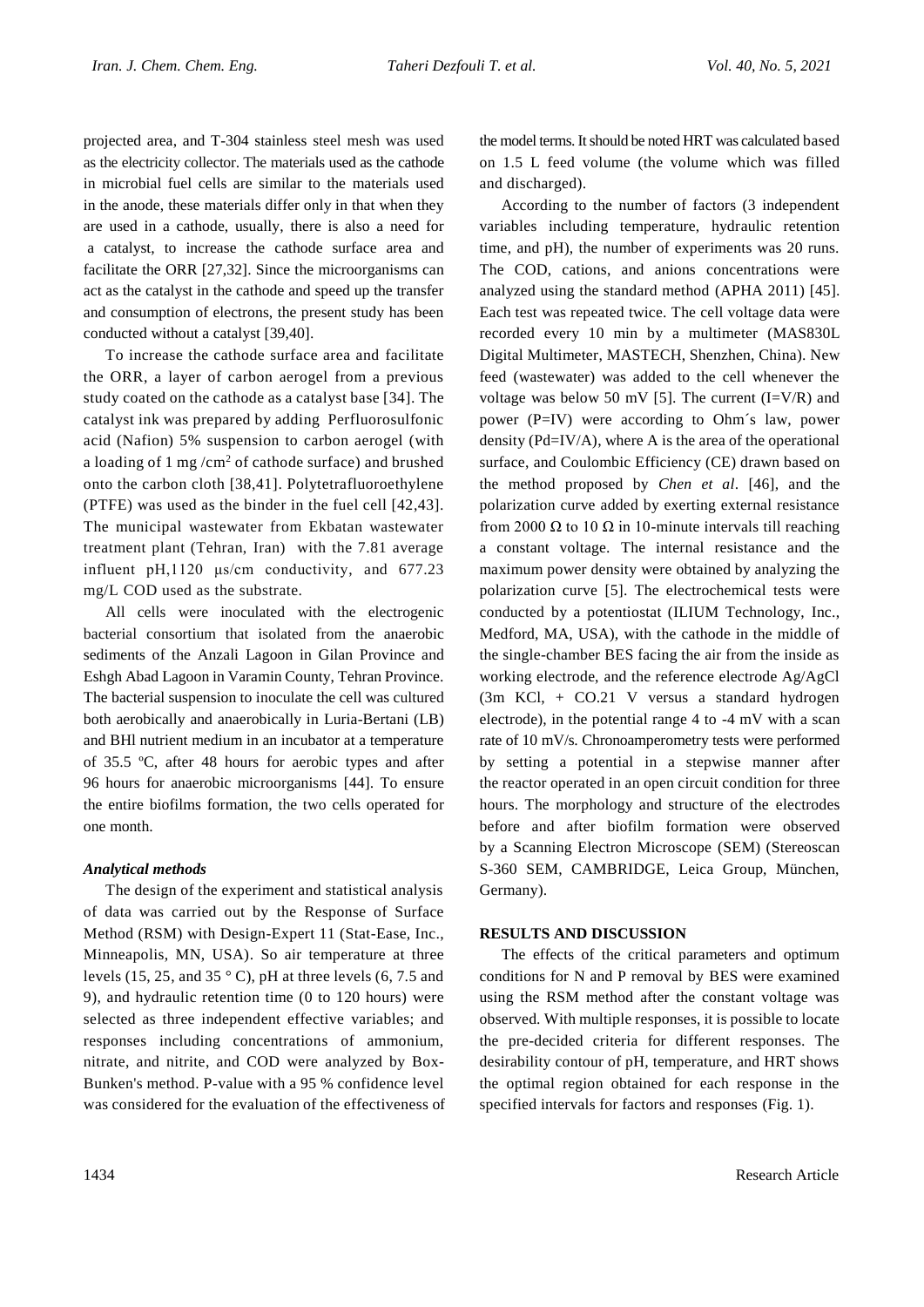projected area, and T-304 stainless steel mesh was used as the electricity collector. The materials used as the cathode in microbial fuel cells are similar to the materials used in the anode, these materials differ only in that when they are used in a cathode, usually, there is also a need for a catalyst, to increase the cathode surface area and facilitate the ORR [27,32]. Since the microorganisms can act as the catalyst in the cathode and speed up the transfer and consumption of electrons, the present study has been conducted without a catalyst [39,40].

To increase the cathode surface area and facilitate the ORR, a layer of carbon aerogel from a previous study coated on the cathode as a catalyst base [34]. The catalyst ink was prepared by adding Perfluorosulfonic acid (Nafion) 5% suspension to carbon aerogel (with a loading of 1 mg /cm<sup>2</sup> of cathode surface) and brushed onto the carbon cloth [38,41]. Polytetrafluoroethylene (PTFE) was used as the binder in the fuel cell [42,43]. The municipal wastewater from Ekbatan wastewater treatment plant (Tehran, Iran) with the 7.81 average influent pH,1120 μs/cm conductivity, and 677.23 mg/L COD used as the substrate.

All cells were inoculated with the electrogenic bacterial consortium that isolated from the anaerobic sediments of the Anzali Lagoon in Gilan Province and Eshgh Abad Lagoon in Varamin County, Tehran Province. The bacterial suspension to inoculate the cell was cultured both aerobically and anaerobically in Luria-Bertani (LB) and BHl nutrient medium in an incubator at a temperature of 35.5 ºC, after 48 hours for aerobic types and after 96 hours for anaerobic microorganisms [44]. To ensure the entire biofilms formation, the two cells operated for one month.

## *Analytical methods*

The design of the experiment and statistical analysis of data was carried out by the Response of Surface Method (RSM) with Design-Expert 11 (Stat-Ease, Inc., Minneapolis, MN, USA). So air temperature at three levels (15, 25, and 35 $\degree$  C), pH at three levels (6, 7.5 and 9), and hydraulic retention time (0 to 120 hours) were selected as three independent effective variables; and responses including concentrations of ammonium, nitrate, and nitrite, and COD were analyzed by Box-Bunken's method. P-value with a 95 % confidence level was considered for the evaluation of the effectiveness of the model terms. It should be noted HRT was calculated based on 1.5 L feed volume (the volume which was filled and discharged).

According to the number of factors (3 independent variables including temperature, hydraulic retention time, and pH), the number of experiments was 20 runs. The COD, cations, and anions concentrations were analyzed using the standard method (APHA 2011) [45]. Each test was repeated twice. The cell voltage data were recorded every 10 min by a multimeter (MAS830L Digital Multimeter, MASTECH, Shenzhen, China). New feed (wastewater) was added to the cell whenever the voltage was below 50 mV [5]. The current  $(I=V/R)$  and power (P=IV) were according to Ohm´s law, power density (Pd=IV/A), where A is the area of the operational surface, and Coulombic Efficiency (CE) drawn based on the method proposed by *Chen et al*. [46], and the polarization curve added by exerting external resistance from 2000  $\Omega$  to 10  $\Omega$  in 10-minute intervals till reaching a constant voltage. The internal resistance and the maximum power density were obtained by analyzing the polarization curve [5]. The electrochemical tests were conducted by a potentiostat (ILIUM Technology, Inc., Medford, MA, USA), with the cathode in the middle of the single-chamber BES facing the air from the inside as working electrode, and the reference electrode Ag/AgCl (3m KCl, + CO.21 V versus a standard hydrogen electrode), in the potential range 4 to -4 mV with a scan rate of 10 mV/s. Chronoamperometry tests were performed by setting a potential in a stepwise manner after the reactor operated in an open circuit condition for three hours. The morphology and structure of the electrodes before and after biofilm formation were observed by a Scanning Electron Microscope (SEM) (Stereoscan S-360 SEM, CAMBRIDGE, Leica Group, München, Germany).

## **RESULTS AND DISCUSSION**

The effects of the critical parameters and optimum conditions for N and P removal by BES were examined using the RSM method after the constant voltage was observed. With multiple responses, it is possible to locate the pre-decided criteria for different responses. The desirability contour of pH, temperature, and HRT shows the optimal region obtained for each response in the specified intervals for factors and responses (Fig. 1).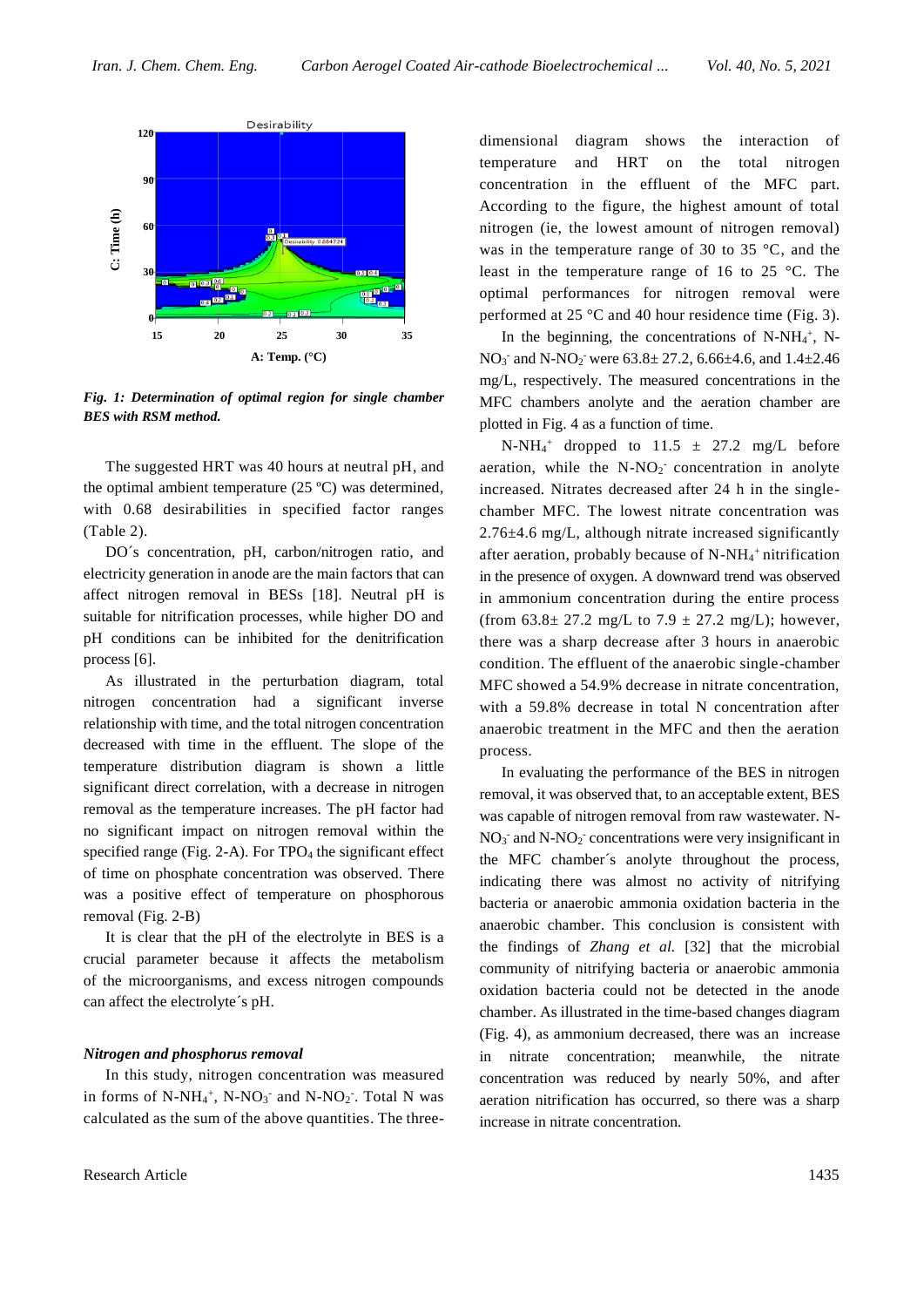

*Fig. 1: Determination of optimal region for single chamber BES with RSM method.*

The suggested HRT was 40 hours at neutral pH, and the optimal ambient temperature (25 ºC) was determined, with 0.68 desirabilities in specified factor ranges (Table 2).

DO´s concentration, pH, carbon/nitrogen ratio, and electricity generation in anode are the main factors that can affect nitrogen removal in BESs [18]. Neutral pH is suitable for nitrification processes, while higher DO and pH conditions can be inhibited for the denitrification process [6].

As illustrated in the perturbation diagram, total nitrogen concentration had a significant inverse relationship with time, and the total nitrogen concentration decreased with time in the effluent. The slope of the temperature distribution diagram is shown a little significant direct correlation, with a decrease in nitrogen removal as the temperature increases. The pH factor had no significant impact on nitrogen removal within the specified range (Fig. 2-A). For TPO<sub>4</sub> the significant effect of time on phosphate concentration was observed. There was a positive effect of temperature on phosphorous removal (Fig. 2-B)

It is clear that the pH of the electrolyte in BES is a crucial parameter because it affects the metabolism of the microorganisms, and excess nitrogen compounds can affect the electrolyte´s pH.

### *Nitrogen and phosphorus removal*

In this study, nitrogen concentration was measured in forms of  $N-NH_4^+$ ,  $N-NO_3^-$  and  $N-NO_2^-$ . Total N was calculated as the sum of the above quantities. The threedimensional diagram shows the interaction of temperature and HRT on the total nitrogen concentration in the effluent of the MFC part. According to the figure, the highest amount of total nitrogen (ie, the lowest amount of nitrogen removal) was in the temperature range of 30 to 35 °C, and the least in the temperature range of 16 to 25 °C. The optimal performances for nitrogen removal were performed at 25 °C and 40 hour residence time (Fig. 3).

In the beginning, the concentrations of  $N-NH_4^+$ , N- $NO_3$ <sup>-</sup> and  $N-NO_2$ <sup>-</sup> were  $63.8 \pm 27.2$ ,  $6.66 \pm 4.6$ , and  $1.4 \pm 2.46$ mg/L, respectively. The measured concentrations in the MFC chambers anolyte and the aeration chamber are plotted in Fig. 4 as a function of time.

 $N-NH<sub>4</sub>$ <sup>+</sup> dropped to 11.5  $\pm$  27.2 mg/L before aeration, while the  $N-NO<sub>2</sub>$  concentration in anolyte increased. Nitrates decreased after 24 h in the singlechamber MFC. The lowest nitrate concentration was 2.76±4.6 mg/L, although nitrate increased significantly after aeration, probably because of  $N-NH<sub>4</sub><sup>+</sup>$  nitrification in the presence of oxygen. A downward trend was observed in ammonium concentration during the entire process (from  $63.8 \pm 27.2$  mg/L to  $7.9 \pm 27.2$  mg/L); however, there was a sharp decrease after 3 hours in anaerobic condition. The effluent of the anaerobic single-chamber MFC showed a 54.9% decrease in nitrate concentration, with a 59.8% decrease in total N concentration after anaerobic treatment in the MFC and then the aeration process.

In evaluating the performance of the BES in nitrogen removal, it was observed that, to an acceptable extent, BES was capable of nitrogen removal from raw wastewater. N- $NO<sub>3</sub>$  and N-NO<sub>2</sub> concentrations were very insignificant in the MFC chamber´s anolyte throughout the process, indicating there was almost no activity of nitrifying bacteria or anaerobic ammonia oxidation bacteria in the anaerobic chamber. This conclusion is consistent with the findings of *Zhang et al.* [32] that the microbial community of nitrifying bacteria or anaerobic ammonia oxidation bacteria could not be detected in the anode chamber. As illustrated in the time-based changes diagram (Fig. 4), as ammonium decreased, there was an increase in nitrate concentration; meanwhile, the nitrate concentration was reduced by nearly 50%, and after aeration nitrification has occurred, so there was a sharp increase in nitrate concentration.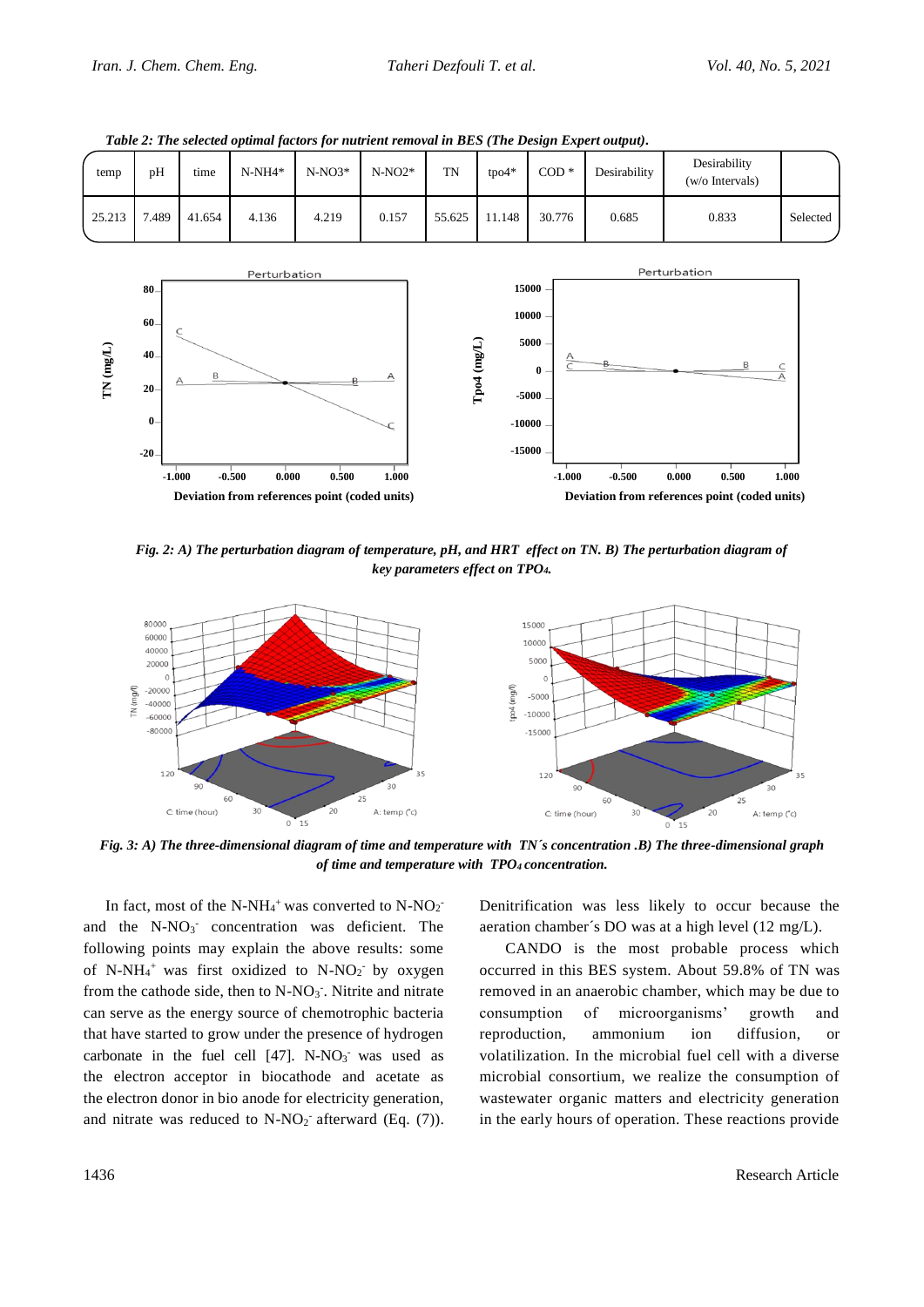

*Table 2: The selected optimal factors for nutrient removal in BES (The Design Expert output).*

*Fig. 2: A) The perturbation diagram of temperature, pH, and HRT effect on TN. B) The perturbation diagram of key parameters effect on TPO4.*



*Fig. 3: A) The three-dimensional diagram of time and temperature with TN´s concentration .B) The three-dimensional graph of time and temperature with TPO4 concentration.*

In fact, most of the N-NH<sub>4</sub><sup>+</sup> was converted to N-NO<sub>2</sub><sup>-</sup> and the N-NO<sub>3</sub> concentration was deficient. The following points may explain the above results: some of N-NH<sub>4</sub><sup>+</sup> was first oxidized to N-NO<sub>2</sub><sup>-</sup> by oxygen from the cathode side, then to  $N-NO<sub>3</sub>$ . Nitrite and nitrate can serve as the energy source of chemotrophic bacteria that have started to grow under the presence of hydrogen carbonate in the fuel cell  $[47]$ . N-NO<sub>3</sub> was used as the electron acceptor in biocathode and acetate as the electron donor in bio anode for electricity generation, and nitrate was reduced to  $N-NO_2$  afterward (Eq. (7)). Denitrification was less likely to occur because the aeration chamber´s DO was at a high level (12 mg/L).

CANDO is the most probable process which occurred in this BES system. About 59.8% of TN was removed in an anaerobic chamber, which may be due to consumption of microorganisms' growth and reproduction, ammonium ion diffusion, or volatilization. In the microbial fuel cell with a diverse microbial consortium, we realize the consumption of wastewater organic matters and electricity generation in the early hours of operation. These reactions provide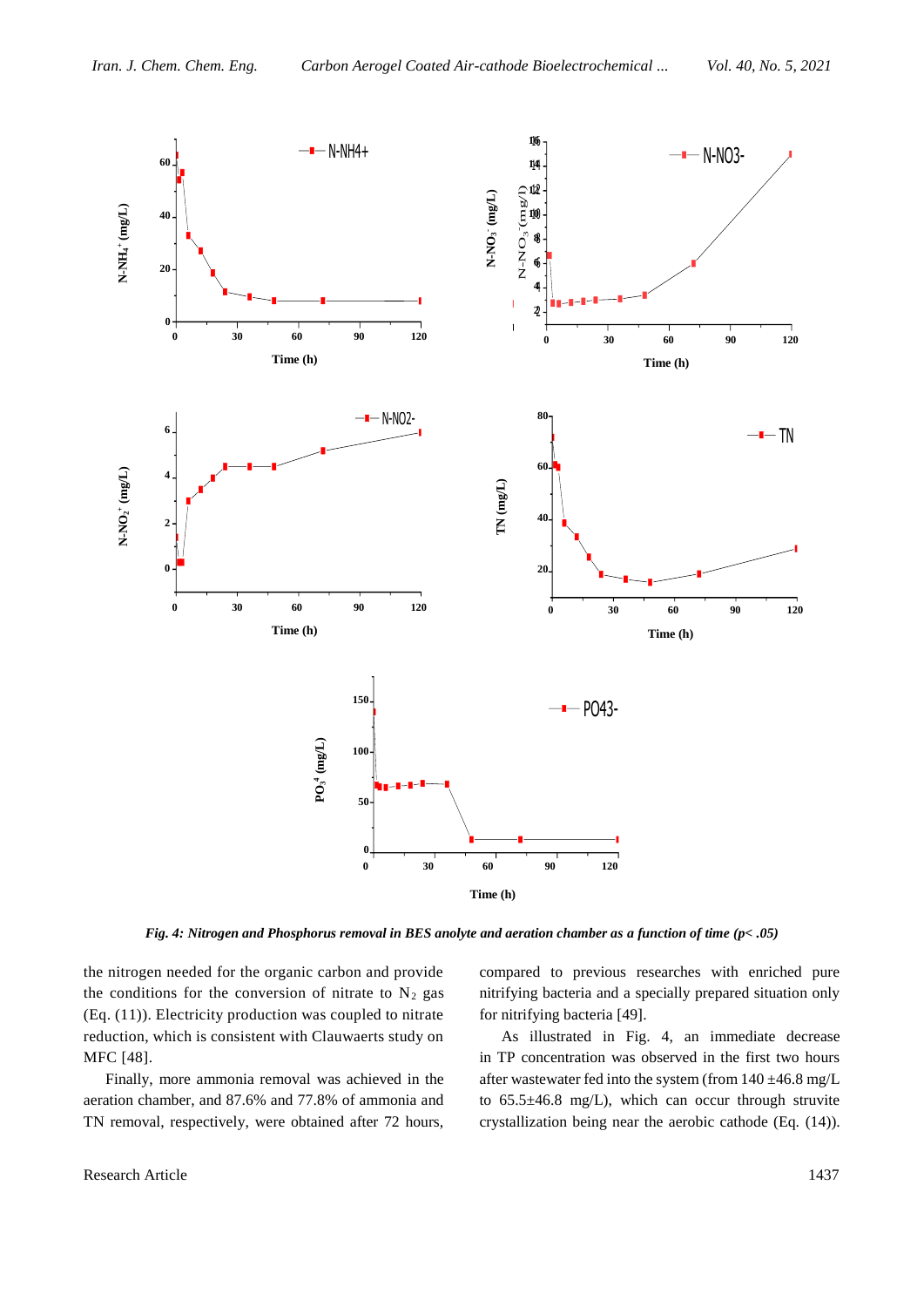

*Fig. 4: Nitrogen and Phosphorus removal in BES anolyte and aeration chamber as a function of time (p< .05)*

the nitrogen needed for the organic carbon and provide the conditions for the conversion of nitrate to  $N_2$  gas (Eq. (11)). Electricity production was coupled to nitrate reduction, which is consistent with Clauwaerts study on MFC [48].

Finally, more ammonia removal was achieved in the aeration chamber, and 87.6% and 77.8% of ammonia and TN removal, respectively, were obtained after 72 hours,

compared to previous researches with enriched pure nitrifying bacteria and a specially prepared situation only for nitrifying bacteria [49].

As illustrated in Fig. 4, an immediate decrease in TP concentration was observed in the first two hours after wastewater fed into the system (from 140 ±46.8 mg/L to 65.5±46.8 mg/L), which can occur through struvite crystallization being near the aerobic cathode (Eq. (14)).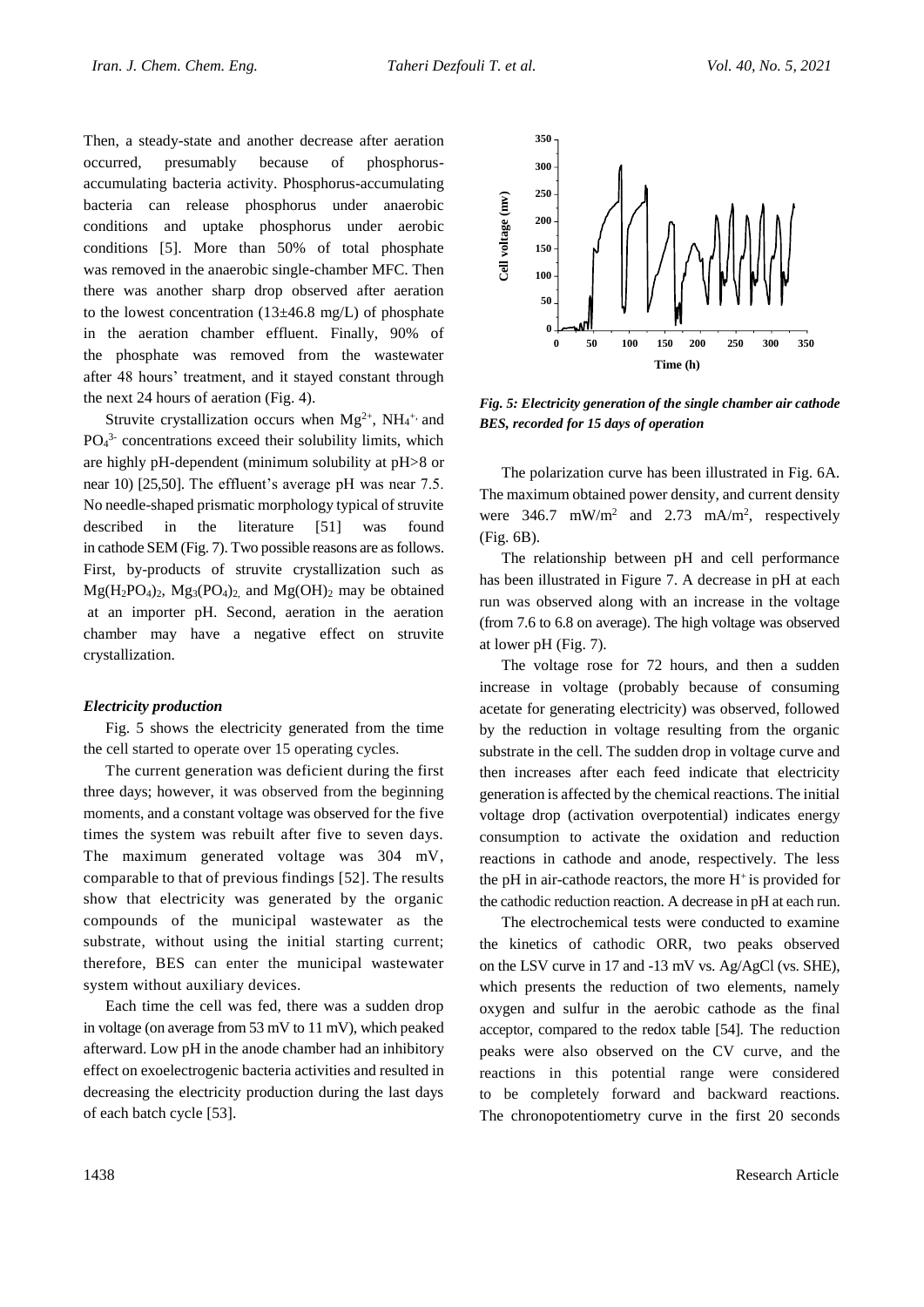Then, a steady-state and another decrease after aeration occurred, presumably because of phosphorusaccumulating bacteria activity. Phosphorus-accumulating bacteria can release phosphorus under anaerobic conditions and uptake phosphorus under aerobic conditions [5]. More than 50% of total phosphate was removed in the anaerobic single-chamber MFC. Then there was another sharp drop observed after aeration to the lowest concentration ( $13\pm46.8$  mg/L) of phosphate in the aeration chamber effluent. Finally, 90% of the phosphate was removed from the wastewater after 48 hours' treatment, and it stayed constant through the next 24 hours of aeration (Fig. 4).

Struvite crystallization occurs when  $Mg^{2+}$ , NH<sub>4</sub><sup>+,</sup> and  $PO<sub>4</sub><sup>3</sup>$  concentrations exceed their solubility limits, which are highly pH-dependent (minimum solubility at pH>8 or near 10) [25,50]. The effluent's average pH was near 7.5. No needle-shaped prismatic morphology typical of struvite described in the literature [51] was found in cathode SEM (Fig. 7). Two possible reasons are as follows. First, by-products of struvite crystallization such as  $Mg(H_2PO_4)_2$ ,  $Mg_3(PO_4)_2$  and  $Mg(OH)_2$  may be obtained at an importer pH. Second, aeration in the aeration chamber may have a negative effect on struvite crystallization.

#### *Electricity production*

Fig. 5 shows the electricity generated from the time the cell started to operate over 15 operating cycles.

The current generation was deficient during the first three days; however, it was observed from the beginning moments, and a constant voltage was observed for the five times the system was rebuilt after five to seven days. The maximum generated voltage was 304 mV, comparable to that of previous findings [52]. The results show that electricity was generated by the organic compounds of the municipal wastewater as the substrate, without using the initial starting current; therefore, BES can enter the municipal wastewater system without auxiliary devices.

Each time the cell was fed, there was a sudden drop in voltage (on average from 53 mV to 11 mV), which peaked afterward. Low pH in the anode chamber had an inhibitory effect on exoelectrogenic bacteria activities and resulted in decreasing the electricity production during the last days of each batch cycle [53].



*Fig. 5: Electricity generation of the single chamber air cathode BES, recorded for 15 days of operation*

The polarization curve has been illustrated in Fig. 6A. The maximum obtained power density, and current density were  $346.7$  mW/m<sup>2</sup> and  $2.73$  mA/m<sup>2</sup>, respectively (Fig. 6B).

The relationship between pH and cell performance has been illustrated in Figure 7. A decrease in pH at each run was observed along with an increase in the voltage (from 7.6 to 6.8 on average). The high voltage was observed at lower pH (Fig. 7).

The voltage rose for 72 hours, and then a sudden increase in voltage (probably because of consuming acetate for generating electricity) was observed, followed by the reduction in voltage resulting from the organic substrate in the cell. The sudden drop in voltage curve and then increases after each feed indicate that electricity generation is affected by the chemical reactions. The initial voltage drop (activation overpotential) indicates energy consumption to activate the oxidation and reduction reactions in cathode and anode, respectively. The less the pH in air-cathode reactors, the more  $H^+$  is provided for the cathodic reduction reaction. A decrease in pH at each run.

The electrochemical tests were conducted to examine the kinetics of cathodic ORR, two peaks observed on the LSV curve in 17 and -13 mV vs. Ag/AgCl (vs. SHE), which presents the reduction of two elements, namely oxygen and sulfur in the aerobic cathode as the final acceptor, compared to the redox table [54]. The reduction peaks were also observed on the CV curve, and the reactions in this potential range were considered to be completely forward and backward reactions. The chronopotentiometry curve in the first 20 seconds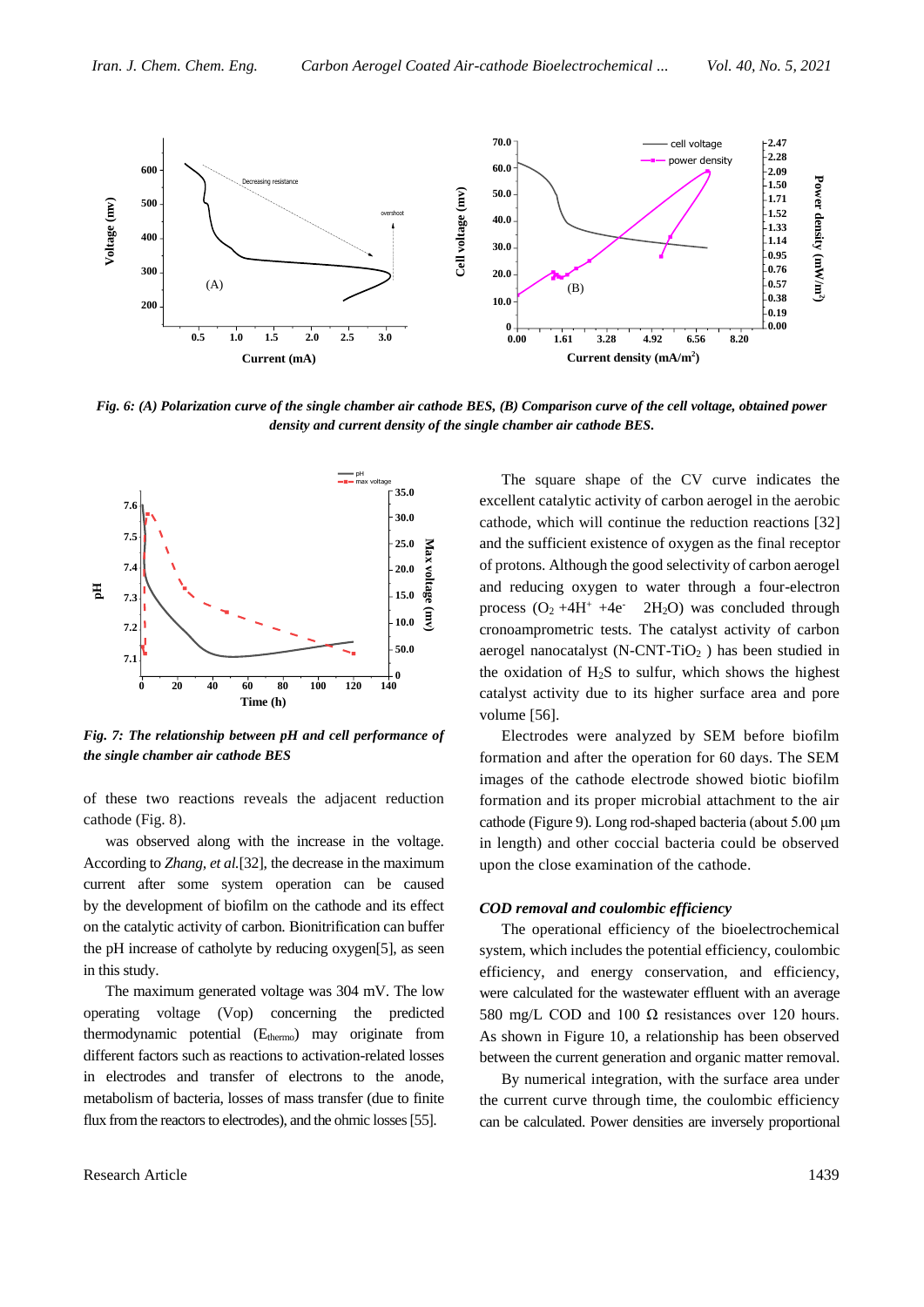

*Fig. 6: (A) Polarization curve of the single chamber air cathode BES, (B) Comparison curve of the cell voltage, obtained power density and current density of the single chamber air cathode BES.*



*Fig. 7: The relationship between pH and cell performance of the single chamber air cathode BES*

of these two reactions reveals the adjacent reduction cathode (Fig. 8).

was observed along with the increase in the voltage. According to *Zhang, et al.*[32], the decrease in the maximum current after some system operation can be caused by the development of biofilm on the cathode and its effect on the catalytic activity of carbon. Bionitrification can buffer the pH increase of catholyte by reducing oxygen[5], as seen in this study.

The maximum generated voltage was 304 mV. The low operating voltage (Vop) concerning the predicted thermodynamic potential (E<sub>thermo</sub>) may originate from different factors such as reactions to activation-related losses in electrodes and transfer of electrons to the anode, metabolism of bacteria, losses of mass transfer (due to finite flux from the reactors to electrodes), and the ohmic losses [55].

The square shape of the CV curve indicates the excellent catalytic activity of carbon aerogel in the aerobic cathode, which will continue the reduction reactions [32] and the sufficient existence of oxygen as the final receptor of protons. Although the good selectivity of carbon aerogel and reducing oxygen to water through a four-electron process  $(O_2 + 4H^+ + 4e^-$  2H<sub>2</sub>O) was concluded through cronoamprometric tests. The catalyst activity of carbon aerogel nanocatalyst (N-CNT-TiO<sub>2</sub>) has been studied in the oxidation of  $H_2S$  to sulfur, which shows the highest catalyst activity due to its higher surface area and pore volume [56].

Electrodes were analyzed by SEM before biofilm formation and after the operation for 60 days. The SEM images of the cathode electrode showed biotic biofilm formation and its proper microbial attachment to the air cathode (Figure 9). Long rod-shaped bacteria (about 5.00 μm in length) and other coccial bacteria could be observed upon the close examination of the cathode.

#### *COD removal and coulombic efficiency*

The operational efficiency of the bioelectrochemical system, which includes the potential efficiency, coulombic efficiency, and energy conservation, and efficiency, were calculated for the wastewater effluent with an average 580 mg/L COD and 100 Ω resistances over 120 hours. As shown in Figure 10, a relationship has been observed between the current generation and organic matter removal.

By numerical integration, with the surface area under the current curve through time, the coulombic efficiency can be calculated. Power densities are inversely proportional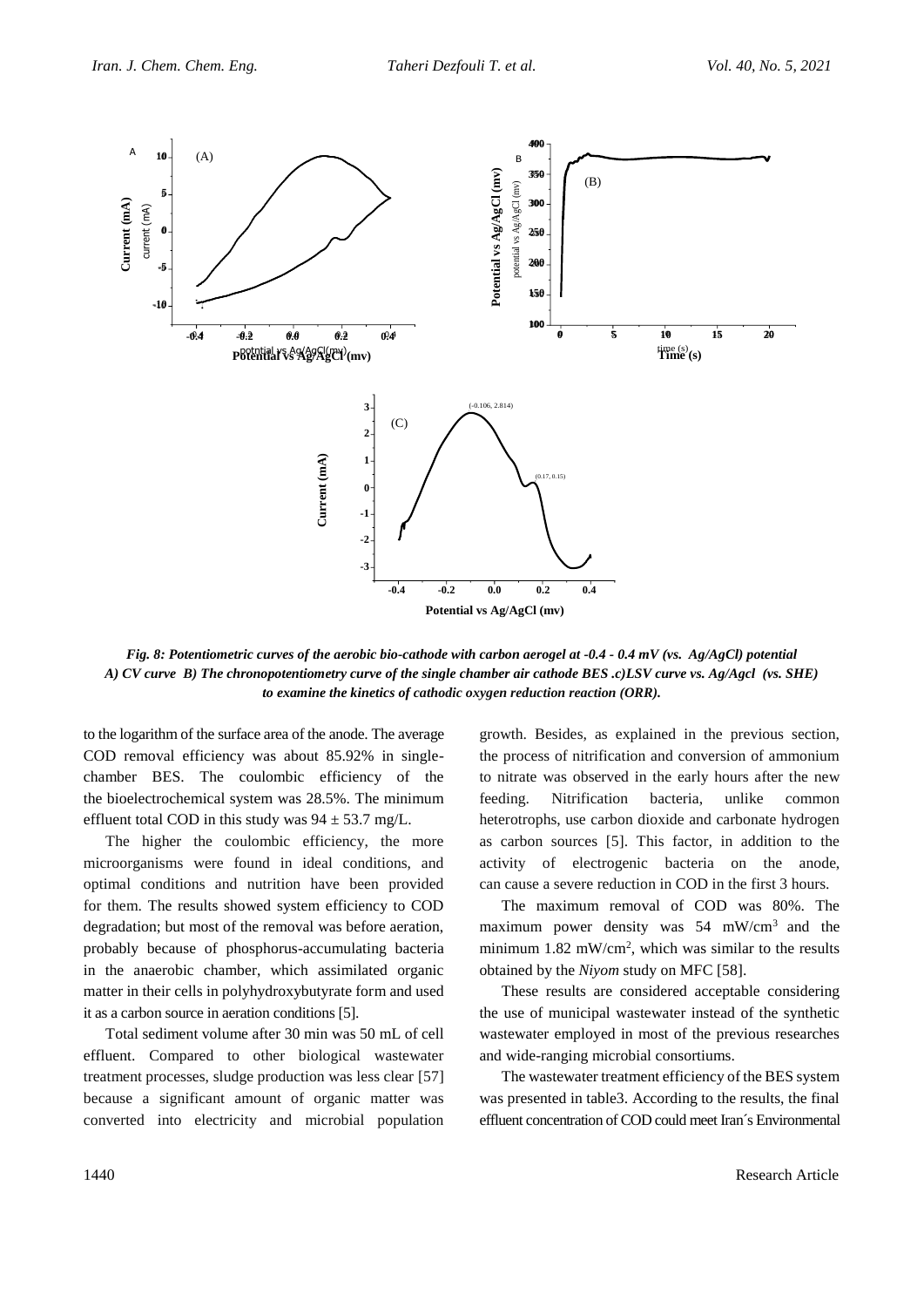

*Fig. 8: Potentiometric curves of the aerobic bio-cathode with carbon aerogel at -0.4 - 0.4 mV (vs. Ag/AgCl) potential A) CV curve B) The chronopotentiometry curve of the single chamber air cathode BES .c)LSV curve vs. Ag/Agcl (vs. SHE) to examine the kinetics of cathodic oxygen reduction reaction (ORR).*

to the logarithm of the surface area of the anode. The average COD removal efficiency was about 85.92% in singlechamber BES. The coulombic efficiency of the the bioelectrochemical system was 28.5%. The minimum effluent total COD in this study was  $94 \pm 53.7$  mg/L.

The higher the coulombic efficiency, the more microorganisms were found in ideal conditions, and optimal conditions and nutrition have been provided for them. The results showed system efficiency to COD degradation; but most of the removal was before aeration, probably because of phosphorus-accumulating bacteria in the anaerobic chamber, which assimilated organic matter in their cells in polyhydroxybutyrate form and used it as a carbon source in aeration conditions [5].

Total sediment volume after 30 min was 50 mL of cell effluent. Compared to other biological wastewater treatment processes, sludge production was less clear [57] because a significant amount of organic matter was converted into electricity and microbial population

growth. Besides, as explained in the previous section, the process of nitrification and conversion of ammonium to nitrate was observed in the early hours after the new feeding. Nitrification bacteria, unlike common heterotrophs, use carbon dioxide and carbonate hydrogen as carbon sources [5]. This factor, in addition to the activity of electrogenic bacteria on the anode, can cause a severe reduction in COD in the first 3 hours.

The maximum removal of COD was 80%. The maximum power density was  $54 \, \text{mW/cm}^3$  and the minimum  $1.82 \text{ mW/cm}^2$ , which was similar to the results obtained by the *Niyom* study on MFC [58].

These results are considered acceptable considering the use of municipal wastewater instead of the synthetic wastewater employed in most of the previous researches and wide-ranging microbial consortiums.

The wastewater treatment efficiency of the BES system was presented in table3. According to the results, the final effluent concentration of COD could meet Iran´s Environmental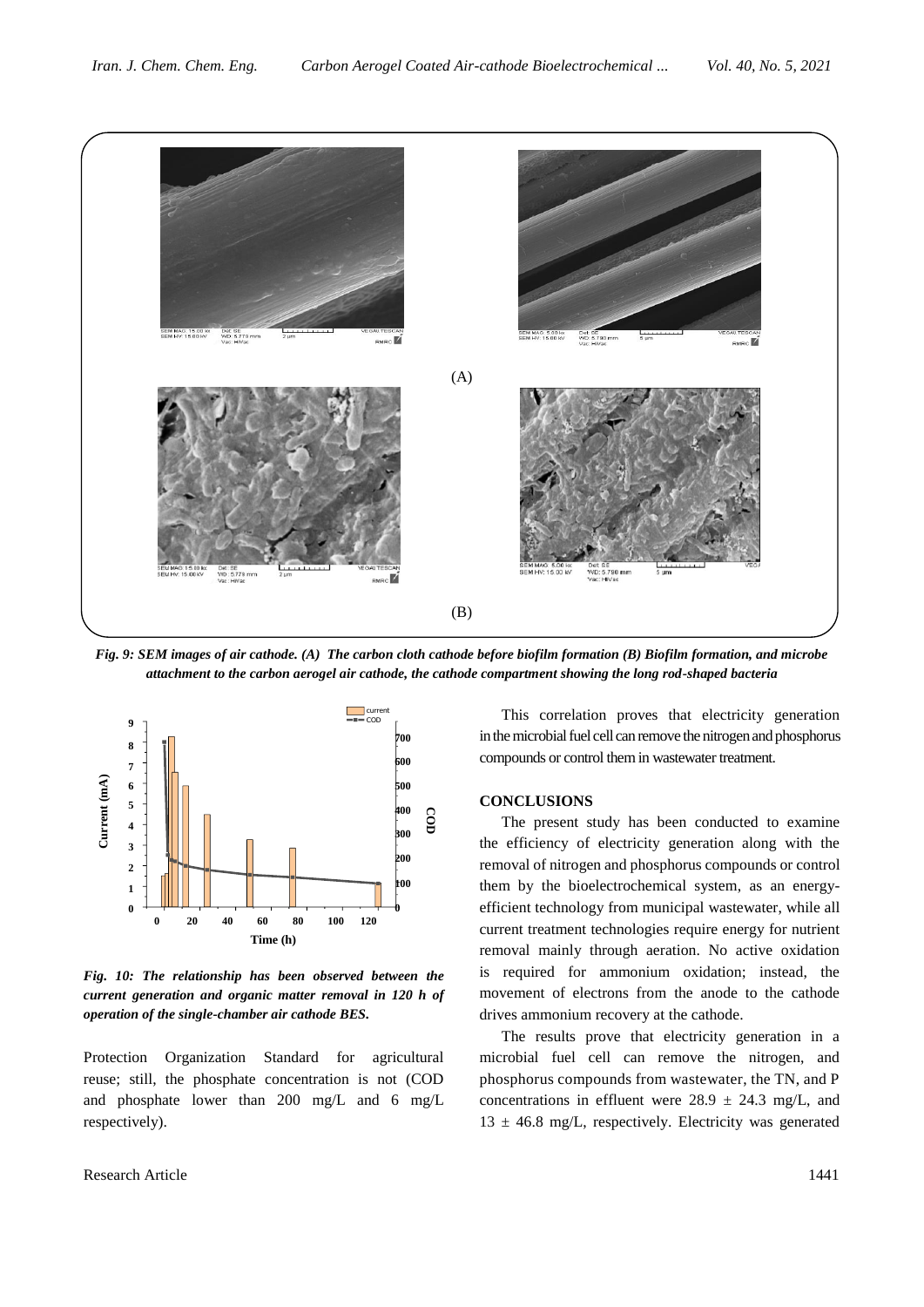

*Fig. 9: SEM images of air cathode. (A) The carbon cloth cathode before biofilm formation (B) Biofilm formation, and microbe attachment to the carbon aerogel air cathode, the cathode compartment showing the long rod-shaped bacteria*



*Fig. 10: The relationship has been observed between the current generation and organic matter removal in 120 h of operation of the single-chamber air cathode BES.*

Protection Organization Standard for agricultural reuse; still, the phosphate concentration is not (COD and phosphate lower than 200 mg/L and 6 mg/L respectively).

This correlation proves that electricity generation in the microbial fuel cell can remove the nitrogen and phosphorus 700 compounds or control them in wastewater treatment. 600

### **CONCLUSIONS** 400

The present study has been conducted to examine the efficiency of electricity generation along with the <sup>20</sup> removal of nitrogen and phosphorus compounds or control <sup>00</sup> them by the bioelectrochemical system, as an energyefficient technology from municipal wastewater, while all current treatment technologies require energy for nutrient removal mainly through aeration. No active oxidation is required for ammonium oxidation; instead, the movement of electrons from the anode to the cathode drives ammonium recovery at the cathode.

> The results prove that electricity generation in a microbial fuel cell can remove the nitrogen, and phosphorus compounds from wastewater, the TN, and P concentrations in effluent were  $28.9 \pm 24.3$  mg/L, and  $13 \pm 46.8$  mg/L, respectively. Electricity was generated

Research Article 1441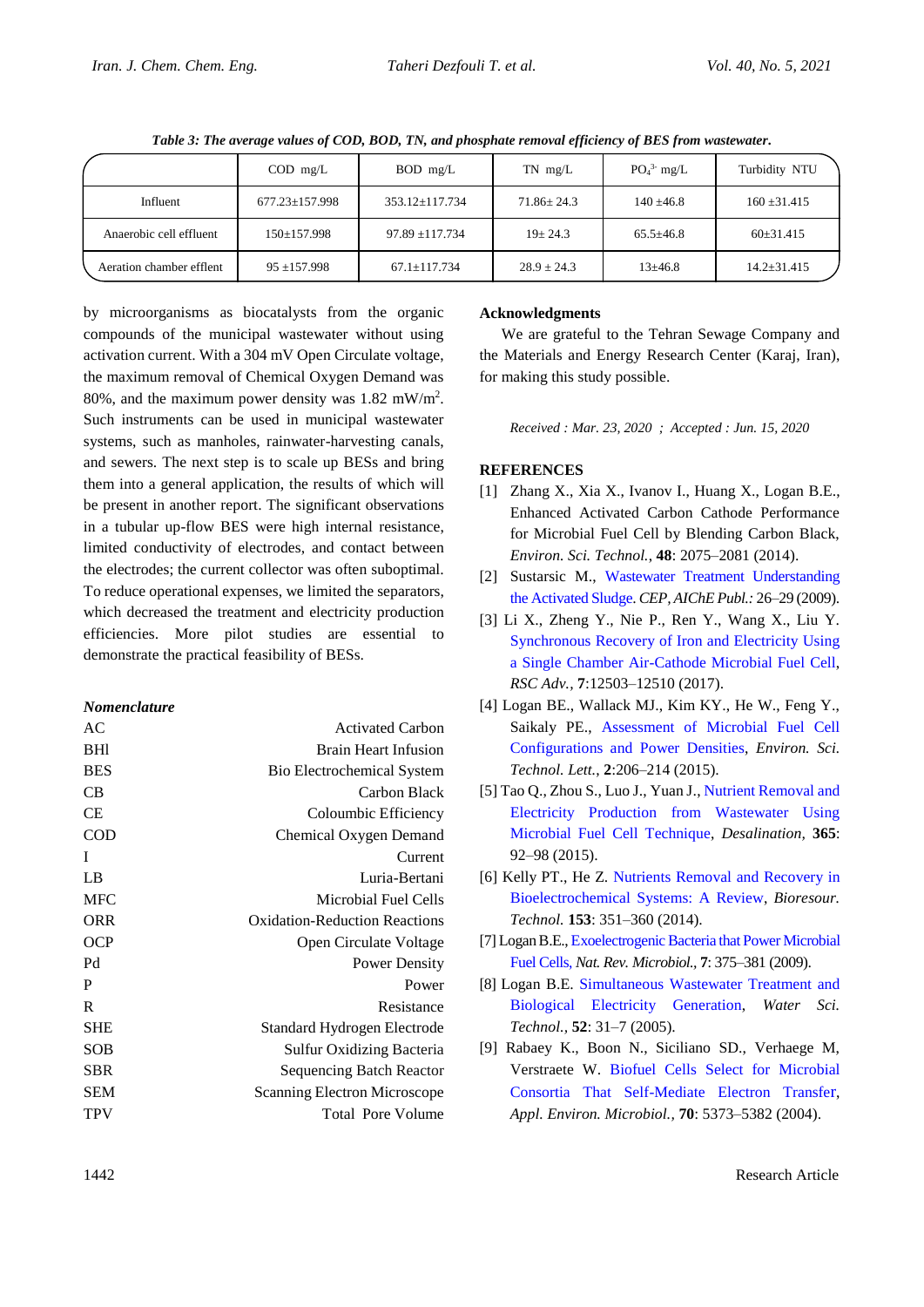|                          | $\text{COD}$ mg/L    | BOD mg/L            | $TN$ mg/L        | $PO43$ mg/L    | Turbidity NTU     |
|--------------------------|----------------------|---------------------|------------------|----------------|-------------------|
| Influent                 | $677.23 \pm 157.998$ | 353.12±117.734      | $71.86 \pm 24.3$ | $140 \pm 46.8$ | $160 \pm 31.415$  |
| Anaerobic cell effluent  | $150 \pm 157.998$    | $97.89 \pm 117.734$ | $19 \pm 24.3$    | $65.5 + 46.8$  | $60\pm31.415$     |
| Aeration chamber efflent | $95 + 157.998$       | $67.1 \pm 117.734$  | $28.9 + 24.3$    | $13\pm 46.8$   | $14.2 \pm 31.415$ |

*Table 3: The average values of COD, BOD, TN, and phosphate removal efficiency of BES from wastewater.*

by microorganisms as biocatalysts from the organic compounds of the municipal wastewater without using activation current. With a 304 mV Open Circulate voltage, the maximum removal of Chemical Oxygen Demand was 80%, and the maximum power density was 1.82 mW/m<sup>2</sup> . Such instruments can be used in municipal wastewater systems, such as manholes, rainwater-harvesting canals, and sewers. The next step is to scale up BESs and bring them into a general application, the results of which will be present in another report. The significant observations in a tubular up-flow BES were high internal resistance, limited conductivity of electrodes, and contact between the electrodes; the current collector was often suboptimal. To reduce operational expenses, we limited the separators, which decreased the treatment and electricity production efficiencies. More pilot studies are essential to demonstrate the practical feasibility of BESs.

## *Nomenclature*

| AC         | <b>Activated Carbon</b>              |
|------------|--------------------------------------|
| <b>BHI</b> | <b>Brain Heart Infusion</b>          |
| <b>BES</b> | <b>Bio Electrochemical System</b>    |
| CВ         | Carbon Black                         |
| СE         | Coloumbic Efficiency                 |
| COD        | Chemical Oxygen Demand               |
| I          | Current                              |
| LB         | Luria-Bertani                        |
| <b>MFC</b> | Microbial Fuel Cells                 |
| ORR        | <b>Oxidation-Reduction Reactions</b> |
| <b>OCP</b> | Open Circulate Voltage               |
| Pd         | <b>Power Density</b>                 |
| P          | Power                                |
| R          | Resistance                           |
| <b>SHE</b> | Standard Hydrogen Electrode          |
| SOB        | Sulfur Oxidizing Bacteria            |
| <b>SBR</b> | <b>Sequencing Batch Reactor</b>      |
| <b>SEM</b> | <b>Scanning Electron Microscope</b>  |
| TPV        | <b>Total Pore Volume</b>             |
|            |                                      |

## **Acknowledgments**

We are grateful to the Tehran Sewage Company and the Materials and Energy Research Center (Karaj, Iran), for making this study possible.

*Received : Mar. 23, 2020 ; Accepted : Jun. 15, 2020*

## **REFERENCES**

- [1] Zhang X., Xia X., Ivanov I., Huang X., Logan B.E., Enhanced Activated Carbon Cathode Performance for Microbial Fuel Cell by Blending Carbon Black, *Environ. Sci. Technol.*, **48**: 2075–2081 (2014).
- [2] Sustarsic M., [Wastewater Treatment Understanding](https://www.academia.edu/32535284/Wastewater_Treatment_Understanding_the_Activated_Sludge_Process)  [the Activated Sludge.](https://www.academia.edu/32535284/Wastewater_Treatment_Understanding_the_Activated_Sludge_Process) *CEP, AIChE Publ.:* 26–29 (2009).
- [3] Li X., Zheng Y., Nie P., Ren Y., Wang X., Liu Y. [Synchronous Recovery of Iron and Electricity Using](http://dx.doi.org/10.1039/C6RA28148F)  a [Single Chamber Air-Cathode Microbial Fuel Cell,](http://dx.doi.org/10.1039/C6RA28148F) *RSC Adv.,* **7**:12503–12510 (2017).
- [4] Logan BE., Wallack MJ., Kim KY., He W., Feng Y., Saikaly PE., [Assessment of Microbial Fuel Cell](https://pubs.acs.org/doi/10.1021/acs.estlett.5b00180)  [Configurations and Power Densities,](https://pubs.acs.org/doi/10.1021/acs.estlett.5b00180) *Environ. Sci. Technol. Lett.*, **2**:206–214 (2015).
- [5] Tao Q., Zhou S., Luo J., Yuan J., [Nutrient Removal and](https://linkinghub.elsevier.com/retrieve/pii/S0011916415001083)  [Electricity Production from Wastewater Using](https://linkinghub.elsevier.com/retrieve/pii/S0011916415001083)  [Microbial Fuel Cell Technique,](https://linkinghub.elsevier.com/retrieve/pii/S0011916415001083) *Desalination,* **365**: 92–98 (2015).
- [6] Kelly PT., He Z. [Nutrients Removal and Recovery in](https://linkinghub.elsevier.com/retrieve/pii/S0960852413018750)  [Bioelectrochemical Systems: A Review,](https://linkinghub.elsevier.com/retrieve/pii/S0960852413018750) *Bioresour. Technol.* **153**: 351–360 (2014).
- [7] Logan B.E.,[Exoelectrogenic Bacteria that Power Microbial](http://www.nature.com/articles/nrmicro2113)  [Fuel Cells,](http://www.nature.com/articles/nrmicro2113) *Nat. Rev. Microbiol.,* **7**: 375–381 (2009).
- [8] Logan B.E. [Simultaneous Wastewater Treatment and](http://www.ncbi.nlm.nih.gov/pubmed/16180406)  [Biological Electricity Generation,](http://www.ncbi.nlm.nih.gov/pubmed/16180406) *Water Sci. Technol.,* **52**: 31–7 (2005).
- [9] Rabaey K., Boon N., Siciliano SD., Verhaege M, Verstraete W. [Biofuel Cells Select for Microbial](http://aem.asm.org/cgi/doi/10.1128/AEM.70.9.5373-5382.200)  [Consortia That Self-Mediate Electron Transfe](http://aem.asm.org/cgi/doi/10.1128/AEM.70.9.5373-5382.200)r, *Appl. Environ. Microbiol.,* **70**: 5373–5382 (2004).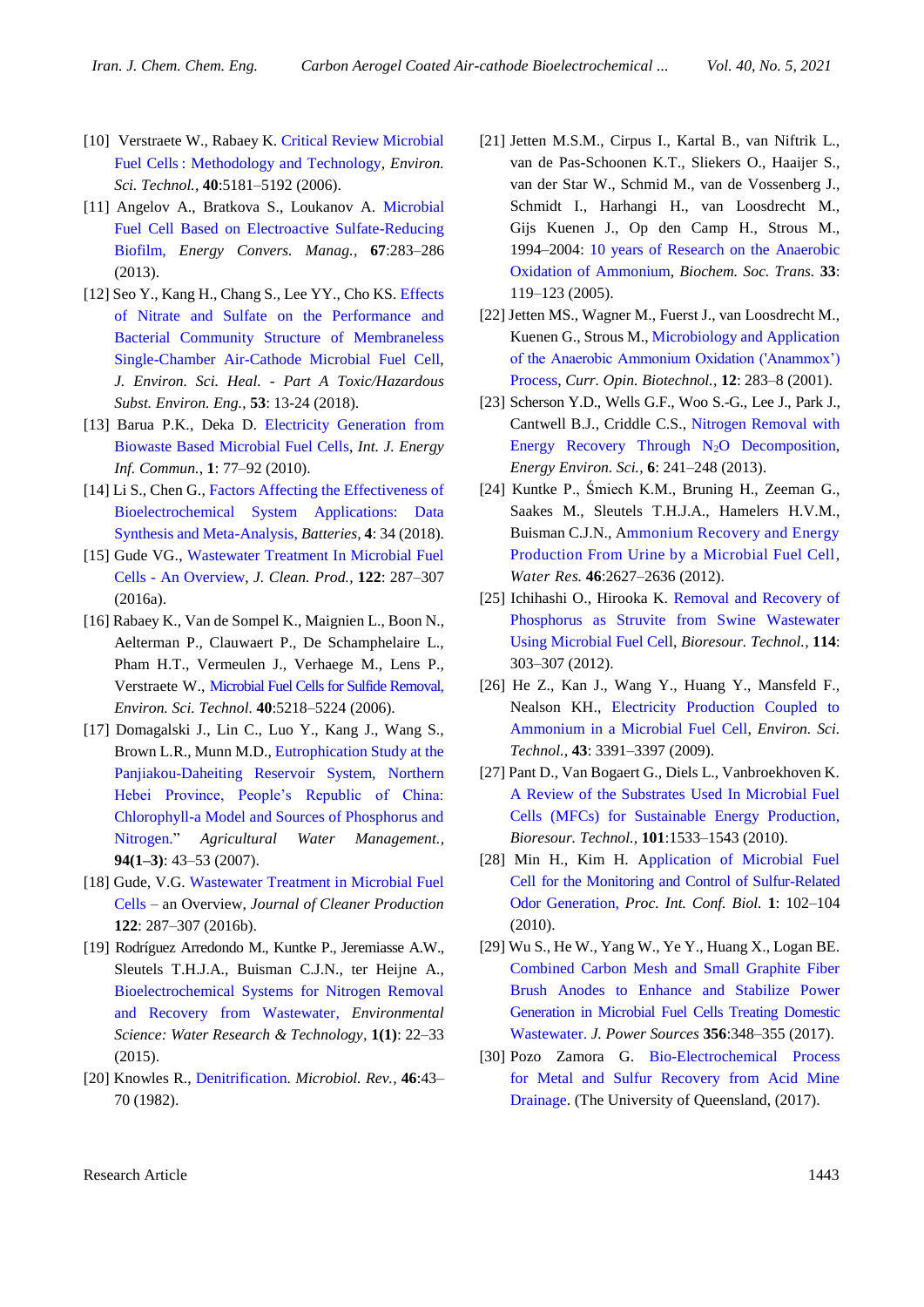- [10] Verstraete W., Rabaey K. [Critical Review Microbial](http://pubs.acs.org/doi/abs/10.1021/es0605016)  Fuel Cells [: Methodology and Technology,](http://pubs.acs.org/doi/abs/10.1021/es0605016) *Environ. Sci. Technol.,* **40**:5181–5192 (2006).
- [11] Angelov A., Bratkova S., Loukanov A. [Microbial](https://doi.org/10.1016/j.enconman.2012.11.024)  [Fuel Cell Based on Electroactive Sulfate-Reducing](https://doi.org/10.1016/j.enconman.2012.11.024)  [Biofilm,](https://doi.org/10.1016/j.enconman.2012.11.024) *Energy Convers. Manag.,* **67**:283–286 (2013).
- [12] Seo Y., Kang H., Chang S., Lee YY., Cho KS. [Effects](https://doi.org/10.1080/10934529.2017.1366242)  [of Nitrate and Sulfate on the Performance and](https://doi.org/10.1080/10934529.2017.1366242)  [Bacterial Community Structure of Membraneless](https://doi.org/10.1080/10934529.2017.1366242)  [Single-Chamber Air-Cathode Microbial Fuel Cell,](https://doi.org/10.1080/10934529.2017.1366242) *J. Environ. Sci. Heal. - Part A Toxic/Hazardous Subst. Environ. Eng.*, **53**: 13-24 (2018).
- [13] Barua P.K., Deka D. [Electricity Generation from](https://www.researchgate.net/publication/281767156_Electricity_generation_from_biowaste_based_microbial_fuel_cells)  Biowaste [Based Microbial Fuel Cells,](https://www.researchgate.net/publication/281767156_Electricity_generation_from_biowaste_based_microbial_fuel_cells) *Int. J. Energy Inf. Commun.*, **1**: 77–92 (2010).
- [14] Li S., Chen G., Factors Affecting the Effectiveness of [Bioelectrochemical System Applications: Data](https://www.researchgate.net/publication/326610486_Factors_Affecting_the_Effectiveness_of_Bioelectrochemical_System_Applications_Data_Synthesis_and_Meta-Analysis)  [Synthesis and Meta-Analysis,](https://www.researchgate.net/publication/326610486_Factors_Affecting_the_Effectiveness_of_Bioelectrochemical_System_Applications_Data_Synthesis_and_Meta-Analysis) *Batteries,* **4**: 34 (2018).
- [15] Gude VG., Wastewater Treatment In Microbial Fuel Cells - [An Overview,](https://doi.org/10.1016/j.jclepro.2016.02.022) *J. Clean. Prod.,* **122**: 287–307 (2016a).
- [16] Rabaey K., Van de Sompel K., Maignien L., Boon N., Aelterman P., Clauwaert P., De Schamphelaire L., Pham H.T., Vermeulen J., Verhaege M., Lens P., Verstraete W., [Microbial Fuel Cells for Sulfide Removal,](https://pubs.acs.org/doi/10.1021/es060382u) *Environ. Sci. Technol.* **40**:5218–5224 (2006).
- [17] Domagalski J., Lin C., Luo Y., Kang J., Wang S., Brown L.R., Munn M.D., [Eutrophication Study at the](//linkinghub.elsevier.com/retrieve/pii/S0378377407002090.)  [Panjiakou-Daheiting Reservoir System, Northern](//linkinghub.elsevier.com/retrieve/pii/S0378377407002090.)  [Hebei Province, People's Republic of China:](//linkinghub.elsevier.com/retrieve/pii/S0378377407002090.)  [Chlorophyll-a Model and Sources of Phosphorus and](//linkinghub.elsevier.com/retrieve/pii/S0378377407002090.)  [Nitrogen."](//linkinghub.elsevier.com/retrieve/pii/S0378377407002090.) *Agricultural Water Management.,* **94(1–3)**: 43–53 (2007).
- [18] Gude, V.G. Wastewater Treatment in Microbial Fuel [Cells](https://linkinghub.elsevier.com/retrieve/pii/S0959652616001670) – an Overview, *Journal of Cleaner Production* **122**: 287–307 (2016b).
- [19] Rodríguez Arredondo M., Kuntke P., Jeremiasse A.W., Sleutels T.H.J.A., Buisman C.J.N., ter Heijne A., [Bioelectrochemical Systems for Nitrogen Removal](http://xlink.rsc.org/?DOI=C4EW00066H)  [and Recovery from Wastewater,](http://xlink.rsc.org/?DOI=C4EW00066H) *Environmental Science: Water Research & Technology,* **1(1)**: 22–33 (2015).
- [20] Knowles R., [Denitrification.](http://www.ncbi.nlm.nih.gov/pubmed/7045624) *Microbiol. Rev.,* **46**:43– 70 (1982).
- [21] Jetten M.S.M., Cirpus I., Kartal B., van Niftrik L., van de Pas-Schoonen K.T., Sliekers O., Haaijer S., van der Star W., Schmid M., van de Vossenberg J., Schmidt I., Harhangi H., van Loosdrecht M., Gijs Kuenen J., Op den Camp H., Strous M., 1994–2004: [10 years of Research on the Anaerobic](file:///D:/payan/maghaleh%20nitrogen/ij/New%20folder/Available%20from:%20http:/www.biochemsoctrans.org/cgi/doi/10.1042/BST0330119)  [Oxidation of Ammonium,](file:///D:/payan/maghaleh%20nitrogen/ij/New%20folder/Available%20from:%20http:/www.biochemsoctrans.org/cgi/doi/10.1042/BST0330119) *Biochem. Soc. Trans.* **33**: 119–123 (2005).
- [22] Jetten MS., Wagner M., Fuerst J., van Loosdrecht M., Kuenen G., Strous M., [Microbiology and Application](http://www.ncbi.nlm.nih.gov/pubmed/11404106)  [of the Anaerobic Ammonium Oxidation \('Anammox'\)](http://www.ncbi.nlm.nih.gov/pubmed/11404106) [Process,](http://www.ncbi.nlm.nih.gov/pubmed/11404106) *Curr. Opin. Biotechnol.,* **12**: 283–8 (2001).
- [23] Scherson Y.D., Wells G.F., Woo S.-G., Lee J., Park J., Cantwell B.J., Criddle C.S., [Nitrogen Removal with](http://xlink.rsc.org/?DOI=C2EE22487A)  [Energy Recovery Through N](http://xlink.rsc.org/?DOI=C2EE22487A)<sub>2</sub>O Decomposition, *Energy Environ. Sci.,* **6**: 241–248 (2013).
- [24] Kuntke P., Śmiech K.M., Bruning H., Zeeman G., Saakes M., Sleutels T.H.J.A., Hamelers H.V.M., Buisman C.J.N., [Ammonium Recovery and Energy](https://linkinghub.elsevier.com/retrieve/pii/S0043135412001285)  [Production From Urine by a Microbial Fuel Cell,](https://linkinghub.elsevier.com/retrieve/pii/S0043135412001285) *Water Res.* **46**:2627–2636 (2012).
- [25] Ichihashi O., Hirooka K. [Removal and Recovery of](https://linkinghub.elsevier.com/retrieve/pii/S0960852412003756)  [Phosphorus as Struvite from Swine Wastewater](https://linkinghub.elsevier.com/retrieve/pii/S0960852412003756)  [Using Microbial Fuel Cell,](https://linkinghub.elsevier.com/retrieve/pii/S0960852412003756) *Bioresour. Technol.,* **114**: 303–307 (2012).
- [26] He Z., Kan J., Wang Y., Huang Y., Mansfeld F., Nealson KH., [Electricity Production Coupled to](https://pubs.acs.org/doi/10.1021/es803492c)  [Ammonium in a Microbial Fuel Cell,](https://pubs.acs.org/doi/10.1021/es803492c) *Environ. Sci. Technol.,* **43**: 3391–3397 (2009).
- [27] Pant D., Van Bogaert G., Diels L., Vanbroekhoven K. [A Review of the Substrates Used In Microbial Fuel](https://linkinghub.elsevier.com/retrieve/pii/S0960852409013595)  [Cells \(MFCs\) for Sustainable Energy Production,](https://linkinghub.elsevier.com/retrieve/pii/S0960852409013595) *Bioresour. Technol.,* **101**:1533–1543 (2010).
- [28] Min H., Kim H. [Application of Microbial Fuel](http://www.ipcbee.com/vol1/24-B049.pdf)  [Cell for the Monitoring and Control of Sulfur-Related](http://www.ipcbee.com/vol1/24-B049.pdf)  Odor [Generation,](http://www.ipcbee.com/vol1/24-B049.pdf) *Proc. Int. Conf. Biol.* **1**: 102–104 (2010).
- [29] Wu S., He W., Yang W., Ye Y., Huang X., Logan BE. [Combined Carbon Mesh and Small Graphite Fiber](http://dx.doi.org/10.1016/j.jpowsour.2017.01.041)  [Brush Anodes to Enhance and Stabilize Power](http://dx.doi.org/10.1016/j.jpowsour.2017.01.041)  [Generation in Microbial Fuel Cells Treating Domestic](http://dx.doi.org/10.1016/j.jpowsour.2017.01.041) [Wastewater.](http://dx.doi.org/10.1016/j.jpowsour.2017.01.041) *J. Power Sources* **356**:348–355 (2017).
- [30] Pozo Zamora G. [Bio-Electrochemical Process](https://doi.org/10.14264/uql.2017.896)  [for Metal and Sulfur Recovery from Acid Mine](https://doi.org/10.14264/uql.2017.896)  [Drainage.](https://doi.org/10.14264/uql.2017.896) (The University of Queensland,  $(2017)$ .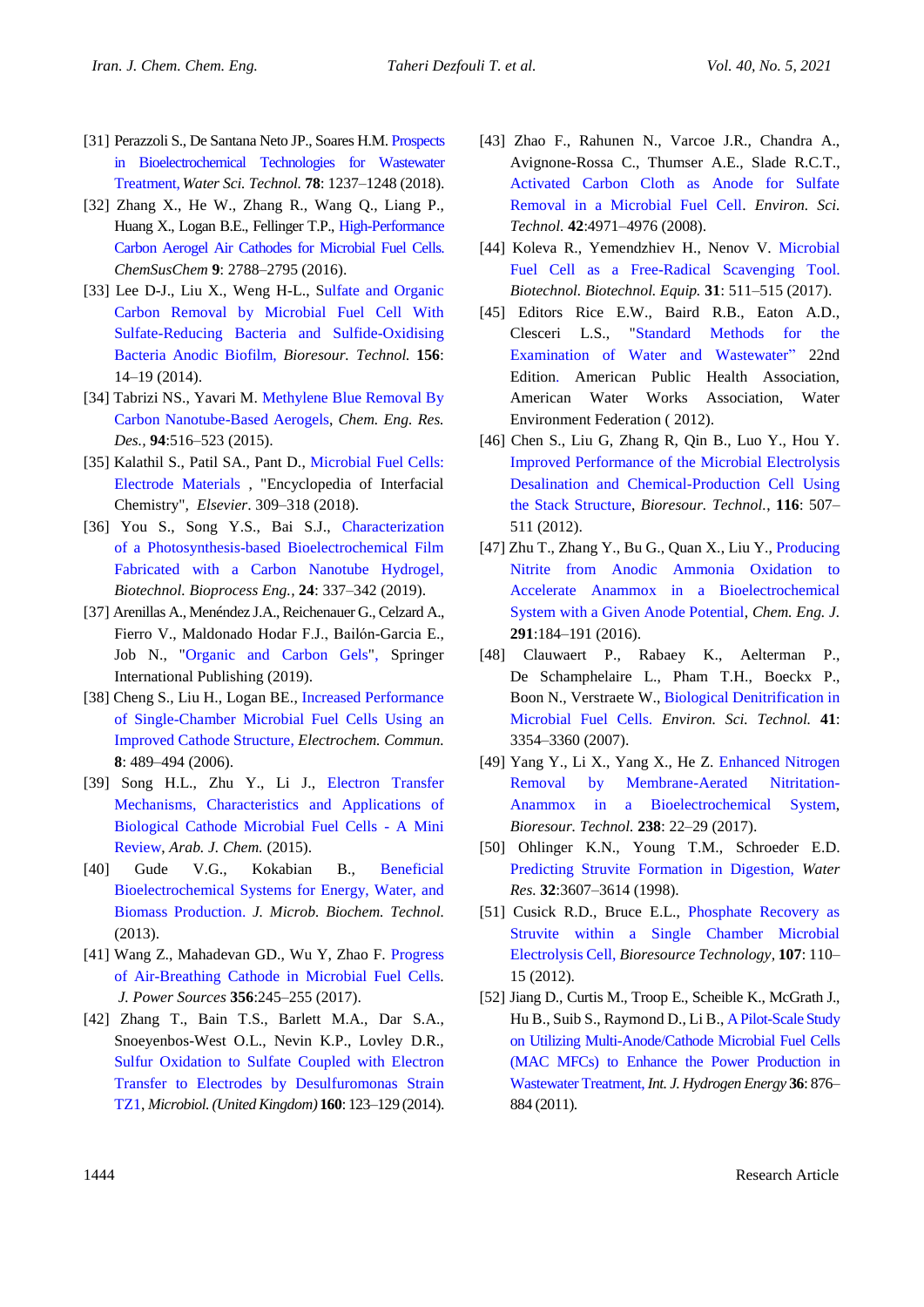- [31] Perazzoli S., De Santana Neto JP., Soares H.M[. Prospects](https://doi.org/10.2166/wst.2018.410)  [in Bioelectrochemical Technologies for Wastewater](https://doi.org/10.2166/wst.2018.410)  [Treatment,](https://doi.org/10.2166/wst.2018.410)*Water Sci. Technol.* **78**: 1237–1248 (2018).
- [32] Zhang X., He W., Zhang R., Wang Q., Liang P., Huang X., Logan B.E., Fellinger T.P., [High-Performance](https://www.ncbi.nlm.nih.gov/pubmed/27509893)  [Carbon Aerogel Air Cathodes for Microbial Fuel Cells.](https://www.ncbi.nlm.nih.gov/pubmed/27509893) *ChemSusChem* **9**: 2788–2795 (2016).
- [33] Lee D-J., Liu X., Weng H-L., Sulfate and Organic [Carbon Removal by Microbial Fuel Cell With](https://linkinghub.elsevier.com/retrieve/pii/S0960852414000078)  [Sulfate-Reducing Bacteria and Sulfide-Oxidising](https://linkinghub.elsevier.com/retrieve/pii/S0960852414000078)  [Bacteria Anodic Biofilm,](https://linkinghub.elsevier.com/retrieve/pii/S0960852414000078) *Bioresour. Technol.* **156**: 14–19 (2014).
- [34] Tabrizi NS., Yavari M. [Methylene Blue Removal By](https://linkinghub.elsevier.com/retrieve/pii/S0263876214004122)  [Carbon Nanotube-Based Aerogels,](https://linkinghub.elsevier.com/retrieve/pii/S0263876214004122) *Chem. Eng. Res. Des.,* **94**:516–523 (2015).
- [35] Kalathil S., Patil SA., Pant D., Microbial Fuel Cells: [Electrode Materials](https://linkinghub.elsevier.com/retrieve/pii/B9780124095472134596) , "Encyclopedia of Interfacial Chemistry"*, Elsevier*. 309–318 (2018).
- [36] You S., Song Y.S., Bai S.J., Characterization [of a Photosynthesis-based Bioelectrochemical Film](http://link.springer.com/10.1007/s12257-018-0470-7)  [Fabricated with a Carbon Nanotube Hydrogel,](http://link.springer.com/10.1007/s12257-018-0470-7) *Biotechnol. Bioprocess Eng.,* **24**: 337–342 (2019).
- [37] Arenillas A., Menéndez J.A., Reichenauer G., Celzard A., Fierro V., Maldonado Hodar F.J., Bailόn-Garcia E., Job N., ["Organic and Carbon Gels"](http://link.springer.com/10.1007/978-3-030-13897-4), Springer International Publishing (2019).
- [38] Cheng S., Liu H., Logan BE., [Increased Performance](https://doi.org/10.1016/j.elecom.2006.01.010)  [of Single-Chamber Microbial Fuel Cells Using an](https://doi.org/10.1016/j.elecom.2006.01.010)  [Improved Cathode Structure,](https://doi.org/10.1016/j.elecom.2006.01.010) *Electrochem. Commun.* **8**: 489–494 (2006).
- [39] Song H.L., Zhu Y., Li J., [Electron Transfer](http://dx.doi.org/10.1016/j.arabjc.2015.01.008)  [Mechanisms, Characteristics and Applications of](http://dx.doi.org/10.1016/j.arabjc.2015.01.008)  [Biological Cathode Microbial Fuel Cells -](http://dx.doi.org/10.1016/j.arabjc.2015.01.008) A Mini [Review,](http://dx.doi.org/10.1016/j.arabjc.2015.01.008) *Arab. J. Chem.* (2015).
- [40] Gude V.G., Kokabian B., [Beneficial](https://www.omicsonline.org/beneficial-bioelectrochemical-systems-for-energy-water-and-biomass-production-1948-5948.S6-005.php?aid=18511)  [Bioelectrochemical Systems for Energy, Water, and](https://www.omicsonline.org/beneficial-bioelectrochemical-systems-for-energy-water-and-biomass-production-1948-5948.S6-005.php?aid=18511)  [Biomass Production.](https://www.omicsonline.org/beneficial-bioelectrochemical-systems-for-energy-water-and-biomass-production-1948-5948.S6-005.php?aid=18511) *J. Microb. Biochem. Technol.* (2013).
- [41] Wang Z., Mahadevan GD., Wu Y, Zhao F. [Progress](http://dx.doi.org/10.1016/j.jpowsour.2017.02.004)  [of Air-Breathing Cathode in Microbial Fuel Cells.](http://dx.doi.org/10.1016/j.jpowsour.2017.02.004) *J. Power Sources* **356**:245–255 (2017).
- [42] Zhang T., Bain T.S., Barlett M.A., Dar S.A., Snoeyenbos-West O.L., Nevin K.P., Lovley D.R., [Sulfur Oxidation to Sulfate Coupled with Electron](https://www.ncbi.nlm.nih.gov/pubmed/24169815)  [Transfer to Electrodes by Desulfuromonas Strain](https://www.ncbi.nlm.nih.gov/pubmed/24169815)  [TZ1,](https://www.ncbi.nlm.nih.gov/pubmed/24169815) *Microbiol. (United Kingdom)* **160**: 123–129 (2014).
- [43] Zhao F., Rahunen N., Varcoe J.R., Chandra A., Avignone-Rossa C., Thumser A.E., Slade R.C.T., [Activated Carbon Cloth as Anode for Sulfate](https://pubs.acs.org/doi/10.1021/es8003766)  [Removal in a Microbial Fuel Cell.](https://pubs.acs.org/doi/10.1021/es8003766) *Environ. Sci. Technol.* **42**:4971–4976 (2008).
- [44] Koleva R., Yemendzhiev H., Nenov V. [Microbial](http://dx.doi.org/10.1080/13102818.2017.1304183)  [Fuel Cell as a Free-Radical Scavenging Tool.](http://dx.doi.org/10.1080/13102818.2017.1304183) *Biotechnol. Biotechnol. Equip.* **31**: 511–515 (2017).
- [45] Editors Rice E.W., Baird R.B., Eaton A.D., Clesceri L.S., ["Standard Methods for the](https://www.awwa.org/Store/Product-Details/productId/28493774)  [Examination of Water and Wastewater"](https://www.awwa.org/Store/Product-Details/productId/28493774) 22nd [Edition.](https://www.awwa.org/Store/Product-Details/productId/28493774) American Public Health Association, American Water Works Association, Water Environment Federation ( 2012).
- [46] Chen S., Liu G, Zhang R, Qin B., Luo Y., Hou Y. [Improved Performance of the Microbial Electrolysis](from:%20https://linkinghub.elsevier.com/retrieve/pii/S0960852412005378)  [Desalination and Chemical-Production Cell Using](from:%20https://linkinghub.elsevier.com/retrieve/pii/S0960852412005378)  [the Stack Structure,](from:%20https://linkinghub.elsevier.com/retrieve/pii/S0960852412005378) *Bioresour. Technol.*, **116**: 507– 511 (2012).
- [47] Zhu T., Zhang Y., Bu G., Quan X., Liu Y., [Producing](http://dx.doi.org/10.1016/j.cej.2016.01.099.)  [Nitrite from Anodic Ammonia Oxidation to](http://dx.doi.org/10.1016/j.cej.2016.01.099.)  [Accelerate Anammox in a](http://dx.doi.org/10.1016/j.cej.2016.01.099.) Bioelectrochemical System with a [Given Anode Potential,](http://dx.doi.org/10.1016/j.cej.2016.01.099.) *Chem. Eng. J.* **291**:184–191 (2016).
- [48] Clauwaert P., Rabaey K., Aelterman P., De Schamphelaire L., Pham T.H., Boeckx P., Boon N., Verstraete W., [Biological Denitrification in](https://pubs.acs.org/doi/10.1021/es062580r)  [Microbial Fuel Cells.](https://pubs.acs.org/doi/10.1021/es062580r) *Environ. Sci. Technol.* **41**: 3354–3360 (2007).
- [49] Yang Y., Li X., Yang X., He Z. [Enhanced Nitrogen](http://dx.doi.org/10.1016/j.biortech.2017.04.022)  [Removal by Membrane-Aerated Nitritation-](http://dx.doi.org/10.1016/j.biortech.2017.04.022)Anammox in a [Bioelectrochemical System,](http://dx.doi.org/10.1016/j.biortech.2017.04.022) *Bioresour. Technol.* **238**: 22–29 (2017).
- [50] Ohlinger K.N., Young T.M., Schroeder E.D. [Predicting Struvite Formation in Digestion,](https://linkinghub.elsevier.com/retrieve/pii/S0043135498001237) *Water Res.* **32**:3607–3614 (1998).
- [51] Cusick R.D., Bruce E.L., [Phosphate Recovery as](https://linkinghub.elsevier.com/retrieve/pii/S0960852411017846.)  [Struvite within a Single Chamber Microbial](https://linkinghub.elsevier.com/retrieve/pii/S0960852411017846.)  [Electrolysis Cell,](https://linkinghub.elsevier.com/retrieve/pii/S0960852411017846.) *Bioresource Technology,* **107**: 110– 15 (2012).
- [52] Jiang D., Curtis M., Troop E., Scheible K., McGrath J., Hu B., Suib S., Raymond D., Li B., [A Pilot-Scale Study](https://linkinghub.elsevier.com/retrieve/pii/S0360319910017131)  [on Utilizing Multi-Anode/Cathode Microbial Fuel Cells](https://linkinghub.elsevier.com/retrieve/pii/S0360319910017131)  [\(MAC MFCs\) to Enhance the Power Production in](https://linkinghub.elsevier.com/retrieve/pii/S0360319910017131)  [Wastewater Treatment,](https://linkinghub.elsevier.com/retrieve/pii/S0360319910017131) *Int. J. Hydrogen Energy* **36**: 876– 884 (2011).